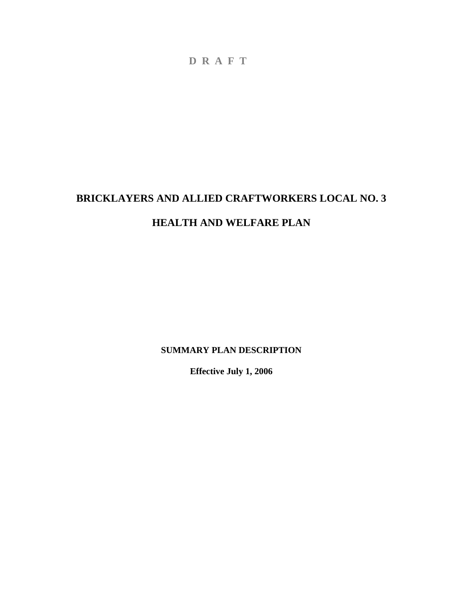# **BRICKLAYERS AND ALLIED CRAFTWORKERS LOCAL NO. 3 HEALTH AND WELFARE PLAN**

**SUMMARY PLAN DESCRIPTION** 

**Effective July 1, 2006**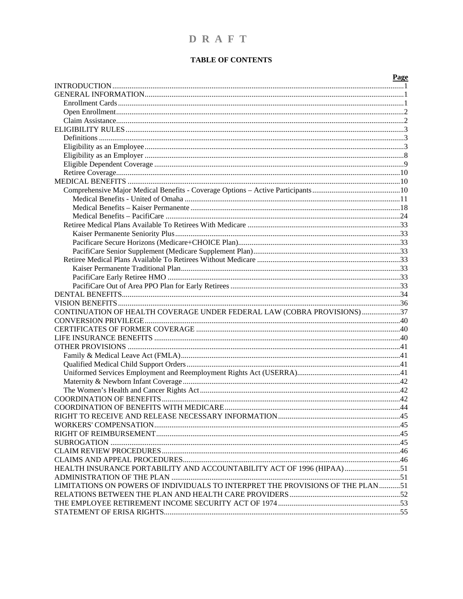### DRAFT

### **TABLE OF CONTENTS**

|                                                                                | Page |
|--------------------------------------------------------------------------------|------|
|                                                                                |      |
|                                                                                |      |
|                                                                                |      |
|                                                                                |      |
|                                                                                |      |
|                                                                                |      |
|                                                                                |      |
|                                                                                |      |
|                                                                                |      |
|                                                                                |      |
|                                                                                |      |
|                                                                                |      |
|                                                                                |      |
|                                                                                |      |
|                                                                                |      |
|                                                                                |      |
|                                                                                |      |
|                                                                                |      |
|                                                                                |      |
|                                                                                |      |
|                                                                                |      |
|                                                                                |      |
|                                                                                |      |
|                                                                                |      |
|                                                                                |      |
|                                                                                |      |
| CONTINUATION OF HEALTH COVERAGE UNDER FEDERAL LAW (COBRA PROVISIONS) 37        |      |
|                                                                                |      |
|                                                                                |      |
|                                                                                |      |
|                                                                                |      |
|                                                                                |      |
|                                                                                |      |
|                                                                                |      |
|                                                                                |      |
|                                                                                |      |
|                                                                                |      |
|                                                                                |      |
|                                                                                |      |
|                                                                                |      |
|                                                                                |      |
|                                                                                |      |
|                                                                                |      |
|                                                                                |      |
| HEALTH INSURANCE PORTABILITY AND ACCOUNTABILITY ACT OF 1996 (HIPAA)51          |      |
|                                                                                |      |
| LIMITATIONS ON POWERS OF INDIVIDUALS TO INTERPRET THE PROVISIONS OF THE PLAN51 |      |
|                                                                                |      |
|                                                                                |      |
|                                                                                |      |
|                                                                                |      |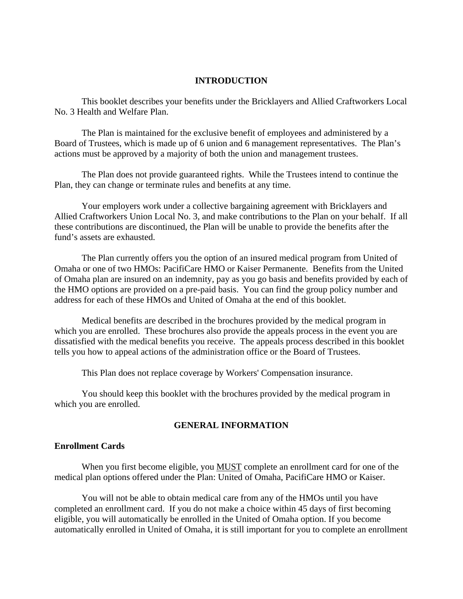### **INTRODUCTION**

<span id="page-2-0"></span>This booklet describes your benefits under the Bricklayers and Allied Craftworkers Local No. 3 Health and Welfare Plan.

The Plan is maintained for the exclusive benefit of employees and administered by a Board of Trustees, which is made up of 6 union and 6 management representatives. The Plan's actions must be approved by a majority of both the union and management trustees.

The Plan does not provide guaranteed rights. While the Trustees intend to continue the Plan, they can change or terminate rules and benefits at any time.

Your employers work under a collective bargaining agreement with Bricklayers and Allied Craftworkers Union Local No. 3, and make contributions to the Plan on your behalf. If all these contributions are discontinued, the Plan will be unable to provide the benefits after the fund's assets are exhausted.

The Plan currently offers you the option of an insured medical program from United of Omaha or one of two HMOs: PacifiCare HMO or Kaiser Permanente. Benefits from the United of Omaha plan are insured on an indemnity, pay as you go basis and benefits provided by each of the HMO options are provided on a pre-paid basis. You can find the group policy number and address for each of these HMOs and United of Omaha at the end of this booklet.

Medical benefits are described in the brochures provided by the medical program in which you are enrolled. These brochures also provide the appeals process in the event you are dissatisfied with the medical benefits you receive. The appeals process described in this booklet tells you how to appeal actions of the administration office or the Board of Trustees.

This Plan does not replace coverage by Workers' Compensation insurance.

You should keep this booklet with the brochures provided by the medical program in which you are enrolled.

#### **GENERAL INFORMATION**

### **Enrollment Cards**

When you first become eligible, you MUST complete an enrollment card for one of the medical plan options offered under the Plan: United of Omaha, PacifiCare HMO or Kaiser.

You will not be able to obtain medical care from any of the HMOs until you have completed an enrollment card. If you do not make a choice within 45 days of first becoming eligible, you will automatically be enrolled in the United of Omaha option. If you become automatically enrolled in United of Omaha, it is still important for you to complete an enrollment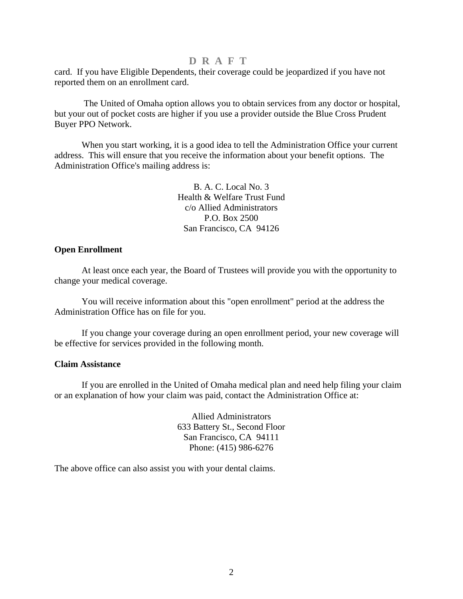<span id="page-3-0"></span>card. If you have Eligible Dependents, their coverage could be jeopardized if you have not reported them on an enrollment card.

 The United of Omaha option allows you to obtain services from any doctor or hospital, but your out of pocket costs are higher if you use a provider outside the Blue Cross Prudent Buyer PPO Network.

When you start working, it is a good idea to tell the Administration Office your current address. This will ensure that you receive the information about your benefit options. The Administration Office's mailing address is:

> B. A. C. Local No. 3 Health & Welfare Trust Fund c/o Allied Administrators P.O. Box 2500 San Francisco, CA 94126

### **Open Enrollment**

At least once each year, the Board of Trustees will provide you with the opportunity to change your medical coverage.

You will receive information about this "open enrollment" period at the address the Administration Office has on file for you.

If you change your coverage during an open enrollment period, your new coverage will be effective for services provided in the following month.

#### **Claim Assistance**

If you are enrolled in the United of Omaha medical plan and need help filing your claim or an explanation of how your claim was paid, contact the Administration Office at:

> Allied Administrators 633 Battery St., Second Floor San Francisco, CA 94111 Phone: (415) 986-6276

The above office can also assist you with your dental claims.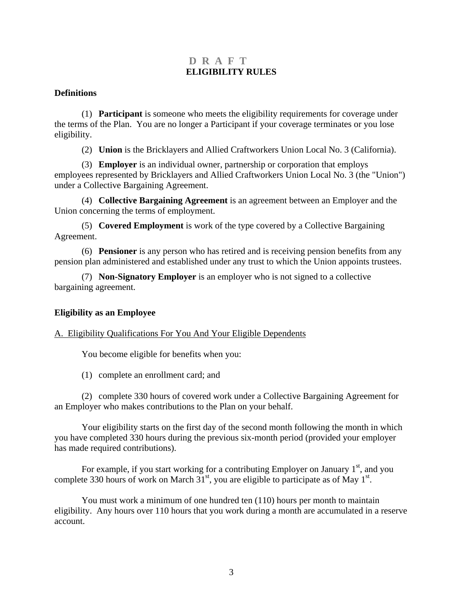### **D R A F T ELIGIBILITY RULES**

### <span id="page-4-0"></span>**Definitions**

(1) **Participant** is someone who meets the eligibility requirements for coverage under the terms of the Plan. You are no longer a Participant if your coverage terminates or you lose eligibility.

(2) **Union** is the Bricklayers and Allied Craftworkers Union Local No. 3 (California).

(3) **Employer** is an individual owner, partnership or corporation that employs employees represented by Bricklayers and Allied Craftworkers Union Local No. 3 (the "Union") under a Collective Bargaining Agreement.

(4) **Collective Bargaining Agreement** is an agreement between an Employer and the Union concerning the terms of employment.

(5) **Covered Employment** is work of the type covered by a Collective Bargaining Agreement.

(6) **Pensioner** is any person who has retired and is receiving pension benefits from any pension plan administered and established under any trust to which the Union appoints trustees.

(7) **Non-Signatory Employer** is an employer who is not signed to a collective bargaining agreement.

### **Eligibility as an Employee**

#### A. Eligibility Qualifications For You And Your Eligible Dependents

You become eligible for benefits when you:

(1) complete an enrollment card; and

(2) complete 330 hours of covered work under a Collective Bargaining Agreement for an Employer who makes contributions to the Plan on your behalf.

Your eligibility starts on the first day of the second month following the month in which you have completed 330 hours during the previous six-month period (provided your employer has made required contributions).

For example, if you start working for a contributing Employer on January  $1<sup>st</sup>$ , and you complete 330 hours of work on March  $31<sup>st</sup>$ , you are eligible to participate as of May  $1<sup>st</sup>$ .

You must work a minimum of one hundred ten (110) hours per month to maintain eligibility. Any hours over 110 hours that you work during a month are accumulated in a reserve account.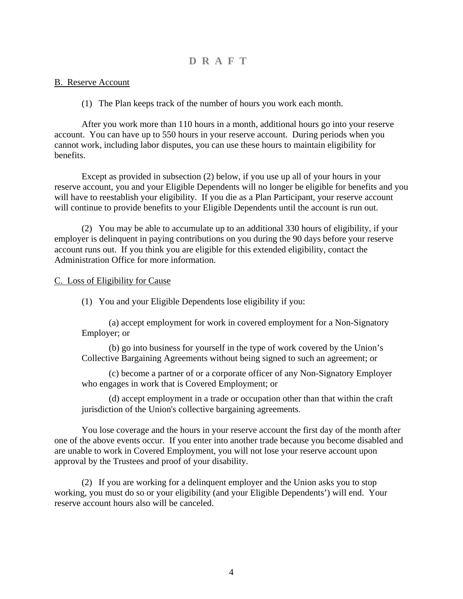### B. Reserve Account

(1) The Plan keeps track of the number of hours you work each month.

After you work more than 110 hours in a month, additional hours go into your reserve account. You can have up to 550 hours in your reserve account. During periods when you cannot work, including labor disputes, you can use these hours to maintain eligibility for benefits.

Except as provided in subsection (2) below, if you use up all of your hours in your reserve account, you and your Eligible Dependents will no longer be eligible for benefits and you will have to reestablish your eligibility. If you die as a Plan Participant, your reserve account will continue to provide benefits to your Eligible Dependents until the account is run out.

(2) You may be able to accumulate up to an additional 330 hours of eligibility, if your employer is delinquent in paying contributions on you during the 90 days before your reserve account runs out. If you think you are eligible for this extended eligibility, contact the Administration Office for more information.

### C. Loss of Eligibility for Cause

(1) You and your Eligible Dependents lose eligibility if you:

 (a) accept employment for work in covered employment for a Non-Signatory Employer; or

(b) go into business for yourself in the type of work covered by the Union's Collective Bargaining Agreements without being signed to such an agreement; or

(c) become a partner of or a corporate officer of any Non-Signatory Employer who engages in work that is Covered Employment; or

(d) accept employment in a trade or occupation other than that within the craft jurisdiction of the Union's collective bargaining agreements.

 You lose coverage and the hours in your reserve account the first day of the month after one of the above events occur. If you enter into another trade because you become disabled and are unable to work in Covered Employment, you will not lose your reserve account upon approval by the Trustees and proof of your disability.

(2) If you are working for a delinquent employer and the Union asks you to stop working, you must do so or your eligibility (and your Eligible Dependents') will end. Your reserve account hours also will be canceled.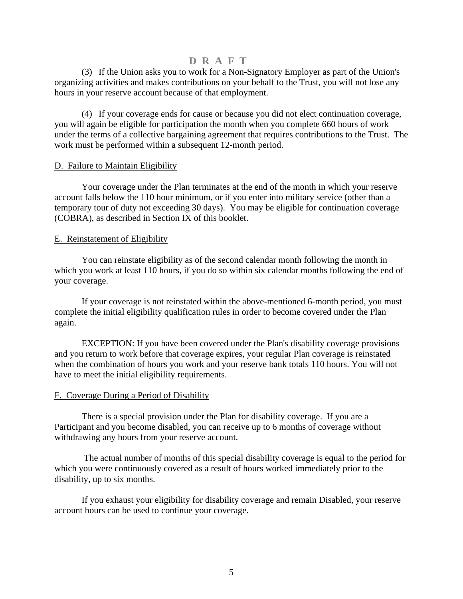(3) If the Union asks you to work for a Non-Signatory Employer as part of the Union's organizing activities and makes contributions on your behalf to the Trust, you will not lose any hours in your reserve account because of that employment.

(4) If your coverage ends for cause or because you did not elect continuation coverage, you will again be eligible for participation the month when you complete 660 hours of work under the terms of a collective bargaining agreement that requires contributions to the Trust. The work must be performed within a subsequent 12-month period.

#### D. Failure to Maintain Eligibility

Your coverage under the Plan terminates at the end of the month in which your reserve account falls below the 110 hour minimum, or if you enter into military service (other than a temporary tour of duty not exceeding 30 days). You may be eligible for continuation coverage (COBRA), as described in Section IX of this booklet.

### E. Reinstatement of Eligibility

You can reinstate eligibility as of the second calendar month following the month in which you work at least 110 hours, if you do so within six calendar months following the end of your coverage.

If your coverage is not reinstated within the above-mentioned 6-month period, you must complete the initial eligibility qualification rules in order to become covered under the Plan again.

EXCEPTION: If you have been covered under the Plan's disability coverage provisions and you return to work before that coverage expires, your regular Plan coverage is reinstated when the combination of hours you work and your reserve bank totals 110 hours. You will not have to meet the initial eligibility requirements.

### F. Coverage During a Period of Disability

There is a special provision under the Plan for disability coverage. If you are a Participant and you become disabled, you can receive up to 6 months of coverage without withdrawing any hours from your reserve account.

 The actual number of months of this special disability coverage is equal to the period for which you were continuously covered as a result of hours worked immediately prior to the disability, up to six months.

If you exhaust your eligibility for disability coverage and remain Disabled, your reserve account hours can be used to continue your coverage.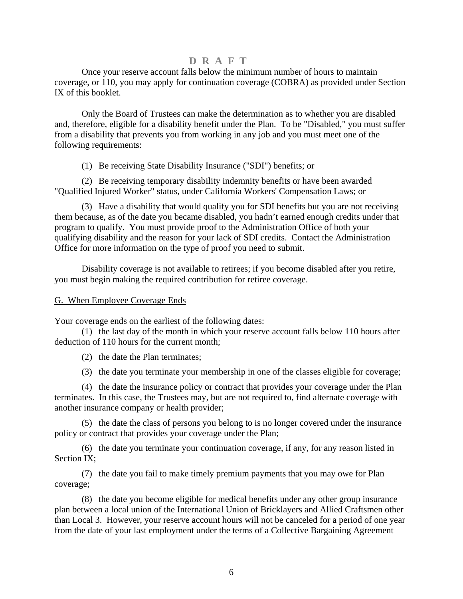Once your reserve account falls below the minimum number of hours to maintain coverage, or 110, you may apply for continuation coverage (COBRA) as provided under Section IX of this booklet.

Only the Board of Trustees can make the determination as to whether you are disabled and, therefore, eligible for a disability benefit under the Plan. To be "Disabled," you must suffer from a disability that prevents you from working in any job and you must meet one of the following requirements:

(1) Be receiving State Disability Insurance ("SDI") benefits; or

(2) Be receiving temporary disability indemnity benefits or have been awarded "Qualified Injured Worker" status, under California Workers' Compensation Laws; or

(3) Have a disability that would qualify you for SDI benefits but you are not receiving them because, as of the date you became disabled, you hadn't earned enough credits under that program to qualify. You must provide proof to the Administration Office of both your qualifying disability and the reason for your lack of SDI credits. Contact the Administration Office for more information on the type of proof you need to submit.

 Disability coverage is not available to retirees; if you become disabled after you retire, you must begin making the required contribution for retiree coverage.

### G. When Employee Coverage Ends

Your coverage ends on the earliest of the following dates:

 (1) the last day of the month in which your reserve account falls below 110 hours after deduction of 110 hours for the current month;

(2) the date the Plan terminates;

(3) the date you terminate your membership in one of the classes eligible for coverage;

(4) the date the insurance policy or contract that provides your coverage under the Plan terminates. In this case, the Trustees may, but are not required to, find alternate coverage with another insurance company or health provider;

 (5) the date the class of persons you belong to is no longer covered under the insurance policy or contract that provides your coverage under the Plan;

 (6) the date you terminate your continuation coverage, if any, for any reason listed in Section IX;

 (7) the date you fail to make timely premium payments that you may owe for Plan coverage;

 (8) the date you become eligible for medical benefits under any other group insurance plan between a local union of the International Union of Bricklayers and Allied Craftsmen other than Local 3. However, your reserve account hours will not be canceled for a period of one year from the date of your last employment under the terms of a Collective Bargaining Agreement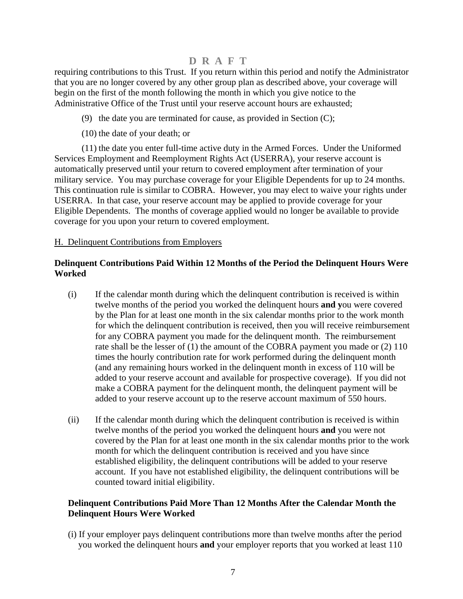requiring contributions to this Trust. If you return within this period and notify the Administrator that you are no longer covered by any other group plan as described above, your coverage will begin on the first of the month following the month in which you give notice to the Administrative Office of the Trust until your reserve account hours are exhausted;

- (9) the date you are terminated for cause, as provided in Section  $(C)$ ;
- (10) the date of your death; or

 (11) the date you enter full-time active duty in the Armed Forces. Under the Uniformed Services Employment and Reemployment Rights Act (USERRA), your reserve account is automatically preserved until your return to covered employment after termination of your military service. You may purchase coverage for your Eligible Dependents for up to 24 months. This continuation rule is similar to COBRA. However, you may elect to waive your rights under USERRA. In that case, your reserve account may be applied to provide coverage for your Eligible Dependents. The months of coverage applied would no longer be available to provide coverage for you upon your return to covered employment.

### H. Delinquent Contributions from Employers

### **Delinquent Contributions Paid Within 12 Months of the Period the Delinquent Hours Were Worked**

- (i) If the calendar month during which the delinquent contribution is received is within twelve months of the period you worked the delinquent hours **and y**ou were covered by the Plan for at least one month in the six calendar months prior to the work month for which the delinquent contribution is received, then you will receive reimbursement for any COBRA payment you made for the delinquent month. The reimbursement rate shall be the lesser of (1) the amount of the COBRA payment you made or (2) 110 times the hourly contribution rate for work performed during the delinquent month (and any remaining hours worked in the delinquent month in excess of 110 will be added to your reserve account and available for prospective coverage). If you did not make a COBRA payment for the delinquent month, the delinquent payment will be added to your reserve account up to the reserve account maximum of 550 hours.
- (ii) If the calendar month during which the delinquent contribution is received is within twelve months of the period you worked the delinquent hours **and** you were not covered by the Plan for at least one month in the six calendar months prior to the work month for which the delinquent contribution is received and you have since established eligibility, the delinquent contributions will be added to your reserve account. If you have not established eligibility, the delinquent contributions will be counted toward initial eligibility.

### **Delinquent Contributions Paid More Than 12 Months After the Calendar Month the Delinquent Hours Were Worked**

(i) If your employer pays delinquent contributions more than twelve months after the period you worked the delinquent hours **and** your employer reports that you worked at least 110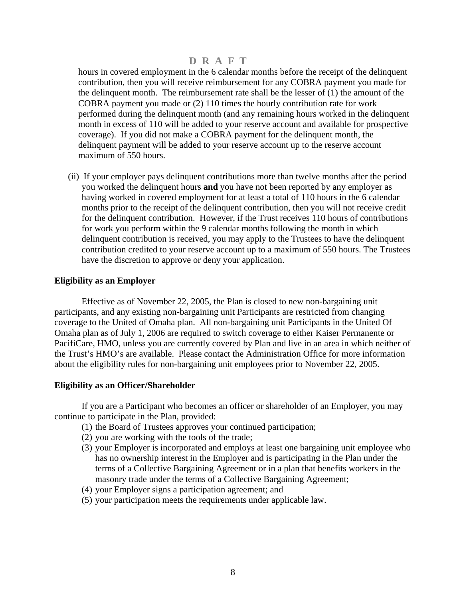<span id="page-9-0"></span>hours in covered employment in the 6 calendar months before the receipt of the delinquent contribution, then you will receive reimbursement for any COBRA payment you made for the delinquent month. The reimbursement rate shall be the lesser of (1) the amount of the COBRA payment you made or (2) 110 times the hourly contribution rate for work performed during the delinquent month (and any remaining hours worked in the delinquent month in excess of 110 will be added to your reserve account and available for prospective coverage). If you did not make a COBRA payment for the delinquent month, the delinquent payment will be added to your reserve account up to the reserve account maximum of 550 hours.

(ii) If your employer pays delinquent contributions more than twelve months after the period you worked the delinquent hours **and** you have not been reported by any employer as having worked in covered employment for at least a total of 110 hours in the 6 calendar months prior to the receipt of the delinquent contribution, then you will not receive credit for the delinquent contribution. However, if the Trust receives 110 hours of contributions for work you perform within the 9 calendar months following the month in which delinquent contribution is received, you may apply to the Trustees to have the delinquent contribution credited to your reserve account up to a maximum of 550 hours. The Trustees have the discretion to approve or deny your application.

### **Eligibility as an Employer**

Effective as of November 22, 2005, the Plan is closed to new non-bargaining unit participants, and any existing non-bargaining unit Participants are restricted from changing coverage to the United of Omaha plan. All non-bargaining unit Participants in the United Of Omaha plan as of July 1, 2006 are required to switch coverage to either Kaiser Permanente or PacifiCare, HMO, unless you are currently covered by Plan and live in an area in which neither of the Trust's HMO's are available. Please contact the Administration Office for more information about the eligibility rules for non-bargaining unit employees prior to November 22, 2005.

### **Eligibility as an Officer/Shareholder**

 If you are a Participant who becomes an officer or shareholder of an Employer, you may continue to participate in the Plan, provided:

- (1) the Board of Trustees approves your continued participation;
- (2) you are working with the tools of the trade;
- (3) your Employer is incorporated and employs at least one bargaining unit employee who has no ownership interest in the Employer and is participating in the Plan under the terms of a Collective Bargaining Agreement or in a plan that benefits workers in the masonry trade under the terms of a Collective Bargaining Agreement;
- (4) your Employer signs a participation agreement; and
- (5) your participation meets the requirements under applicable law.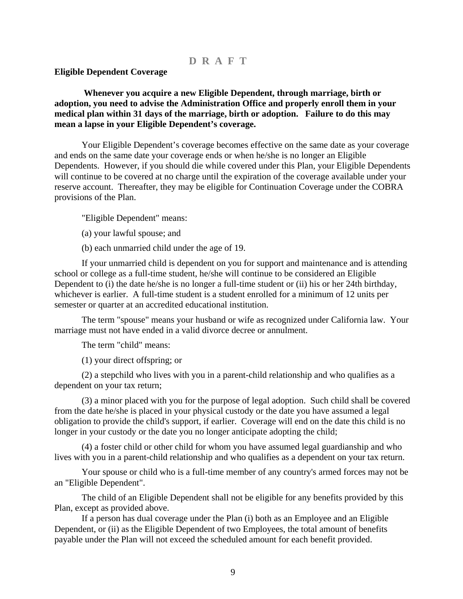#### <span id="page-10-0"></span>**Eligible Dependent Coverage**

**Whenever you acquire a new Eligible Dependent, through marriage, birth or adoption, you need to advise the Administration Office and properly enroll them in your medical plan within 31 days of the marriage, birth or adoption. Failure to do this may mean a lapse in your Eligible Dependent's coverage.**

Your Eligible Dependent's coverage becomes effective on the same date as your coverage and ends on the same date your coverage ends or when he/she is no longer an Eligible Dependents. However, if you should die while covered under this Plan, your Eligible Dependents will continue to be covered at no charge until the expiration of the coverage available under your reserve account. Thereafter, they may be eligible for Continuation Coverage under the COBRA provisions of the Plan.

"Eligible Dependent" means:

- (a) your lawful spouse; and
- (b) each unmarried child under the age of 19.

If your unmarried child is dependent on you for support and maintenance and is attending school or college as a full-time student, he/she will continue to be considered an Eligible Dependent to (i) the date he/she is no longer a full-time student or (ii) his or her 24th birthday, whichever is earlier. A full-time student is a student enrolled for a minimum of 12 units per semester or quarter at an accredited educational institution.

The term "spouse" means your husband or wife as recognized under California law. Your marriage must not have ended in a valid divorce decree or annulment.

The term "child" means:

(1) your direct offspring; or

(2) a stepchild who lives with you in a parent-child relationship and who qualifies as a dependent on your tax return;

(3) a minor placed with you for the purpose of legal adoption. Such child shall be covered from the date he/she is placed in your physical custody or the date you have assumed a legal obligation to provide the child's support, if earlier. Coverage will end on the date this child is no longer in your custody or the date you no longer anticipate adopting the child;

(4) a foster child or other child for whom you have assumed legal guardianship and who lives with you in a parent-child relationship and who qualifies as a dependent on your tax return.

Your spouse or child who is a full-time member of any country's armed forces may not be an "Eligible Dependent".

The child of an Eligible Dependent shall not be eligible for any benefits provided by this Plan, except as provided above.

If a person has dual coverage under the Plan (i) both as an Employee and an Eligible Dependent, or (ii) as the Eligible Dependent of two Employees, the total amount of benefits payable under the Plan will not exceed the scheduled amount for each benefit provided.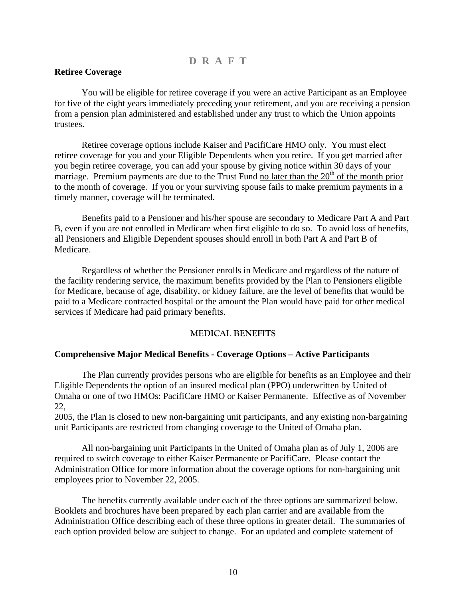### <span id="page-11-0"></span>**Retiree Coverage**

You will be eligible for retiree coverage if you were an active Participant as an Employee for five of the eight years immediately preceding your retirement, and you are receiving a pension from a pension plan administered and established under any trust to which the Union appoints trustees.

Retiree coverage options include Kaiser and PacifiCare HMO only. You must elect retiree coverage for you and your Eligible Dependents when you retire. If you get married after you begin retiree coverage, you can add your spouse by giving notice within 30 days of your marriage. Premium payments are due to the Trust Fund no later than the  $20<sup>th</sup>$  of the month prior to the month of coverage. If you or your surviving spouse fails to make premium payments in a timely manner, coverage will be terminated.

Benefits paid to a Pensioner and his/her spouse are secondary to Medicare Part A and Part B, even if you are not enrolled in Medicare when first eligible to do so. To avoid loss of benefits, all Pensioners and Eligible Dependent spouses should enroll in both Part A and Part B of Medicare.

Regardless of whether the Pensioner enrolls in Medicare and regardless of the nature of the facility rendering service, the maximum benefits provided by the Plan to Pensioners eligible for Medicare, because of age, disability, or kidney failure, are the level of benefits that would be paid to a Medicare contracted hospital or the amount the Plan would have paid for other medical services if Medicare had paid primary benefits.

#### **MEDICAL BENEFITS**

#### **Comprehensive Major Medical Benefits - Coverage Options – Active Participants**

The Plan currently provides persons who are eligible for benefits as an Employee and their Eligible Dependents the option of an insured medical plan (PPO) underwritten by United of Omaha or one of two HMOs: PacifiCare HMO or Kaiser Permanente. Effective as of November 22,

2005, the Plan is closed to new non-bargaining unit participants, and any existing non-bargaining unit Participants are restricted from changing coverage to the United of Omaha plan.

All non-bargaining unit Participants in the United of Omaha plan as of July 1, 2006 are required to switch coverage to either Kaiser Permanente or PacifiCare. Please contact the Administration Office for more information about the coverage options for non-bargaining unit employees prior to November 22, 2005.

The benefits currently available under each of the three options are summarized below. Booklets and brochures have been prepared by each plan carrier and are available from the Administration Office describing each of these three options in greater detail. The summaries of each option provided below are subject to change. For an updated and complete statement of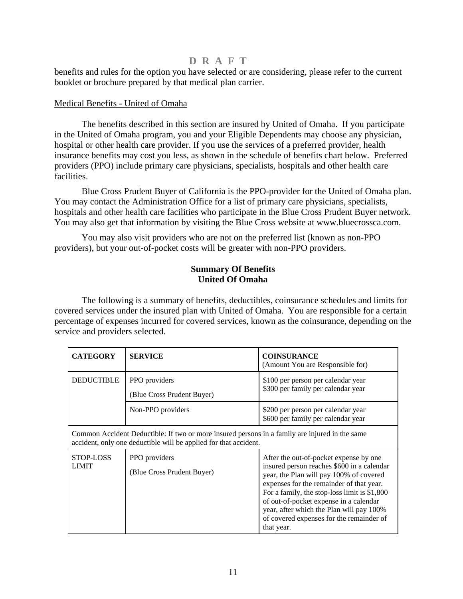<span id="page-12-0"></span>benefits and rules for the option you have selected or are considering, please refer to the current booklet or brochure prepared by that medical plan carrier.

### Medical Benefits - United of Omaha

 The benefits described in this section are insured by United of Omaha. If you participate in the United of Omaha program, you and your Eligible Dependents may choose any physician, hospital or other health care provider. If you use the services of a preferred provider, health insurance benefits may cost you less, as shown in the schedule of benefits chart below. Preferred providers (PPO) include primary care physicians, specialists, hospitals and other health care facilities.

 Blue Cross Prudent Buyer of California is the PPO-provider for the United of Omaha plan. You may contact the Administration Office for a list of primary care physicians, specialists, hospitals and other health care facilities who participate in the Blue Cross Prudent Buyer network. You may also get that information by visiting the Blue Cross website at www.bluecrossca.com.

 You may also visit providers who are not on the preferred list (known as non-PPO providers), but your out-of-pocket costs will be greater with non-PPO providers.

### **Summary Of Benefits United Of Omaha**

 The following is a summary of benefits, deductibles, coinsurance schedules and limits for covered services under the insured plan with United of Omaha. You are responsible for a certain percentage of expenses incurred for covered services, known as the coinsurance, depending on the service and providers selected.

| <b>CATEGORY</b>                                                                                                                                                    | <b>SERVICE</b>                              | <b>COINSURANCE</b><br>(Amount You are Responsible for)                                                                                                                                                                                                                                                                                                                      |
|--------------------------------------------------------------------------------------------------------------------------------------------------------------------|---------------------------------------------|-----------------------------------------------------------------------------------------------------------------------------------------------------------------------------------------------------------------------------------------------------------------------------------------------------------------------------------------------------------------------------|
| <b>DEDUCTIBLE</b>                                                                                                                                                  | PPO providers<br>(Blue Cross Prudent Buyer) | \$100 per person per calendar year<br>\$300 per family per calendar year                                                                                                                                                                                                                                                                                                    |
|                                                                                                                                                                    | Non-PPO providers                           | \$200 per person per calendar year<br>\$600 per family per calendar year                                                                                                                                                                                                                                                                                                    |
| Common Accident Deductible: If two or more insured persons in a family are injured in the same<br>accident, only one deductible will be applied for that accident. |                                             |                                                                                                                                                                                                                                                                                                                                                                             |
| STOP-LOSS<br><b>LIMIT</b>                                                                                                                                          | PPO providers<br>(Blue Cross Prudent Buyer) | After the out-of-pocket expense by one<br>insured person reaches \$600 in a calendar<br>year, the Plan will pay 100% of covered<br>expenses for the remainder of that year.<br>For a family, the stop-loss limit is \$1,800<br>of out-of-pocket expense in a calendar<br>year, after which the Plan will pay 100%<br>of covered expenses for the remainder of<br>that year. |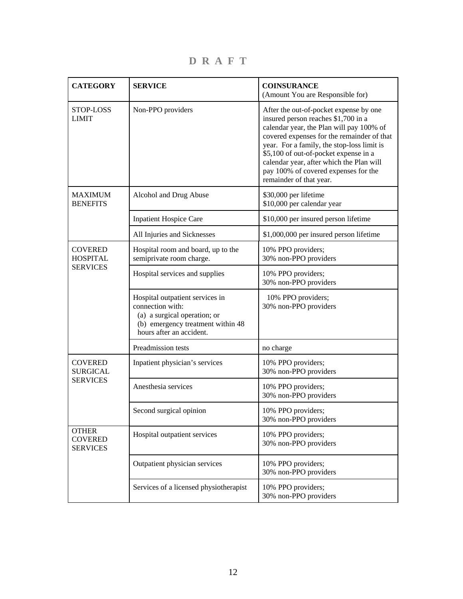CATEGORY SERVICE COINSURANCE (Amount You are Responsible for) STOP-LOSS LIMIT Non-PPO providers After the out-of-pocket expense by one insured person reaches \$1,700 in a calendar year, the Plan will pay 100% of covered expenses for the remainder of that year. For a family, the stop-loss limit is \$5,100 of out-of-pocket expense in a calendar year, after which the Plan will pay 100% of covered expenses for the remainder of that year. Alcohol and Drug Abuse \$30,000 per lifetime \$10,000 per calendar year Inpatient Hospice Care  $\left| \frac{10,000}{2} \right|$  \$10,000 per insured person lifetime MAXIMUM **BENEFITS** All Injuries and Sicknesses  $\left| \frac{1,000,000}{1,000,000} \right|$  per insured person lifetime Hospital room and board, up to the semiprivate room charge. 10% PPO providers; 30% non-PPO providers Hospital services and supplies 10% PPO providers; 30% non-PPO providers Hospital outpatient services in connection with: (a) a surgical operation; or (b) emergency treatment within 48 hours after an accident. 10% PPO providers; 30% non-PPO providers **COVERED** HOSPITAL SERVICES Preadmission tests no charge no charge Inpatient physician's services 10% PPO providers; 30% non-PPO providers Anesthesia services 10% PPO providers; 30% non-PPO providers COVERED SURGICAL **SERVICES** Second surgical opinion 10% PPO providers; 30% non-PPO providers **OTHER** COVERED SERVICES Hospital outpatient services 10% PPO providers; 30% non-PPO providers Outpatient physician services 10% PPO providers; 30% non-PPO providers Services of a licensed physiotherapist 10% PPO providers; 30% non-PPO providers

**D R A F T**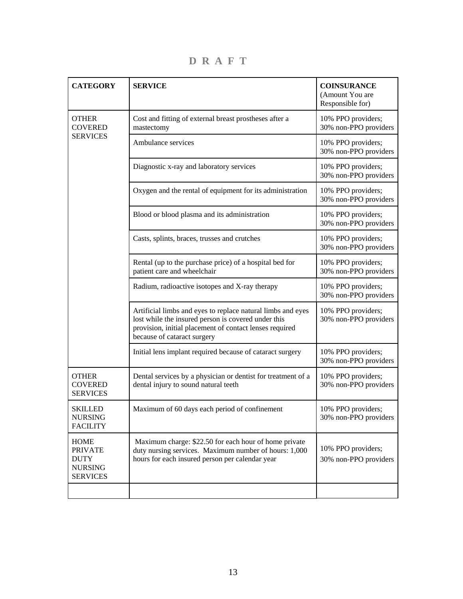**CATEGORY** SERVICE CATEGORY **SERVICE** (Amount You are Responsible for) Cost and fitting of external breast prostheses after a mastectomy 10% PPO providers; 30% non-PPO providers Ambulance services 10% PPO providers; 30% non-PPO providers **OTHER COVERED** SERVICES Diagnostic x-ray and laboratory services 10% PPO providers; 30% non-PPO providers Oxygen and the rental of equipment for its administration 10% PPO providers; 30% non-PPO providers Blood or blood plasma and its administration 10% PPO providers; 30% non-PPO providers Casts, splints, braces, trusses and crutches 10% PPO providers; 30% non-PPO providers Rental (up to the purchase price) of a hospital bed for patient care and wheelchair 10% PPO providers; 30% non-PPO providers Radium, radioactive isotopes and X-ray therapy 10% PPO providers; 30% non-PPO providers Artificial limbs and eyes to replace natural limbs and eyes lost while the insured person is covered under this provision, initial placement of contact lenses required because of cataract surgery 10% PPO providers; 30% non-PPO providers Initial lens implant required because of cataract surgery 10% PPO providers; 30% non-PPO providers **OTHER** COVERED SERVICES Dental services by a physician or dentist for treatment of a dental injury to sound natural teeth 10% PPO providers; 30% non-PPO providers SKILLED NURSING FACILITY Maximum of 60 days each period of confinement 10% PPO providers; 30% non-PPO providers **HOME** PRIVATE DUTY NURSING **SERVICES**  Maximum charge: \$22.50 for each hour of home private duty nursing services. Maximum number of hours: 1,000 hours for each insured person per calendar year 10% PPO providers; 30% non-PPO providers

**D R A F T**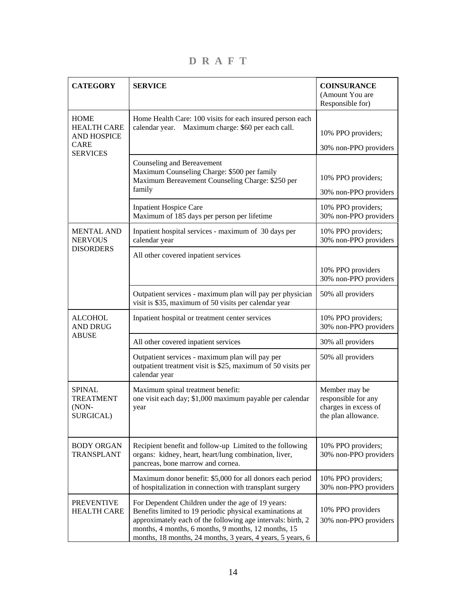**D R A F T** 

| <b>CATEGORY</b>                                                        | <b>SERVICE</b>                                                                                                                                                                                                                                                                                    | <b>COINSURANCE</b><br>(Amount You are<br>Responsible for)                           |
|------------------------------------------------------------------------|---------------------------------------------------------------------------------------------------------------------------------------------------------------------------------------------------------------------------------------------------------------------------------------------------|-------------------------------------------------------------------------------------|
| <b>HOME</b><br><b>HEALTH CARE</b><br><b>AND HOSPICE</b><br><b>CARE</b> | Home Health Care: 100 visits for each insured person each<br>Maximum charge: \$60 per each call.<br>calendar year.                                                                                                                                                                                | 10% PPO providers;<br>30% non-PPO providers                                         |
| <b>SERVICES</b>                                                        | Counseling and Bereavement<br>Maximum Counseling Charge: \$500 per family<br>Maximum Bereavement Counseling Charge: \$250 per<br>family                                                                                                                                                           | 10% PPO providers;<br>30% non-PPO providers                                         |
|                                                                        | <b>Inpatient Hospice Care</b><br>Maximum of 185 days per person per lifetime                                                                                                                                                                                                                      | 10% PPO providers;<br>30% non-PPO providers                                         |
| <b>MENTAL AND</b><br><b>NERVOUS</b>                                    | Inpatient hospital services - maximum of 30 days per<br>calendar year                                                                                                                                                                                                                             | 10% PPO providers;<br>30% non-PPO providers                                         |
| <b>DISORDERS</b>                                                       | All other covered inpatient services                                                                                                                                                                                                                                                              | 10% PPO providers<br>30% non-PPO providers                                          |
|                                                                        | Outpatient services - maximum plan will pay per physician<br>visit is \$35, maximum of 50 visits per calendar year                                                                                                                                                                                | 50% all providers                                                                   |
| <b>ALCOHOL</b><br><b>AND DRUG</b>                                      | Inpatient hospital or treatment center services                                                                                                                                                                                                                                                   | 10% PPO providers;<br>30% non-PPO providers                                         |
| <b>ABUSE</b>                                                           | All other covered inpatient services                                                                                                                                                                                                                                                              | 30% all providers                                                                   |
|                                                                        | Outpatient services - maximum plan will pay per<br>outpatient treatment visit is \$25, maximum of 50 visits per<br>calendar year                                                                                                                                                                  | 50% all providers                                                                   |
| <b>SPINAL</b><br><b>TREATMENT</b><br>$(NON-$<br>SURGICAL)              | Maximum spinal treatment benefit:<br>one visit each day; \$1,000 maximum payable per calendar<br>year                                                                                                                                                                                             | Member may be<br>responsible for any<br>charges in excess of<br>the plan allowance. |
| <b>BODY ORGAN</b><br>TRANSPLANT                                        | Recipient benefit and follow-up Limited to the following<br>organs: kidney, heart, heart/lung combination, liver,<br>pancreas, bone marrow and cornea.                                                                                                                                            | 10% PPO providers;<br>30% non-PPO providers                                         |
|                                                                        | Maximum donor benefit: \$5,000 for all donors each period<br>of hospitalization in connection with transplant surgery                                                                                                                                                                             | 10% PPO providers;<br>30% non-PPO providers                                         |
| <b>PREVENTIVE</b><br><b>HEALTH CARE</b>                                | For Dependent Children under the age of 19 years:<br>Benefits limited to 19 periodic physical examinations at<br>approximately each of the following age intervals: birth, 2<br>months, 4 months, 6 months, 9 months, 12 months, 15<br>months, 18 months, 24 months, 3 years, 4 years, 5 years, 6 | 10% PPO providers<br>30% non-PPO providers                                          |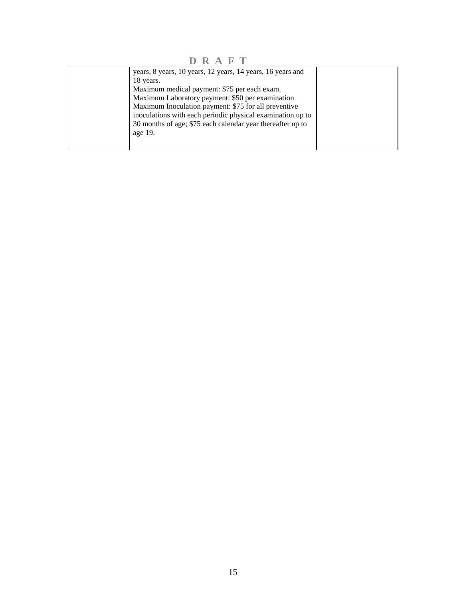**D R A F T** 

| years, 8 years, 10 years, 12 years, 14 years, 16 years and<br>18 years.<br>Maximum medical payment: \$75 per each exam.<br>Maximum Laboratory payment: \$50 per examination<br>Maximum Inoculation payment: \$75 for all preventive |  |
|-------------------------------------------------------------------------------------------------------------------------------------------------------------------------------------------------------------------------------------|--|
| inoculations with each periodic physical examination up to<br>30 months of age; \$75 each calendar year thereafter up to<br>age 19.                                                                                                 |  |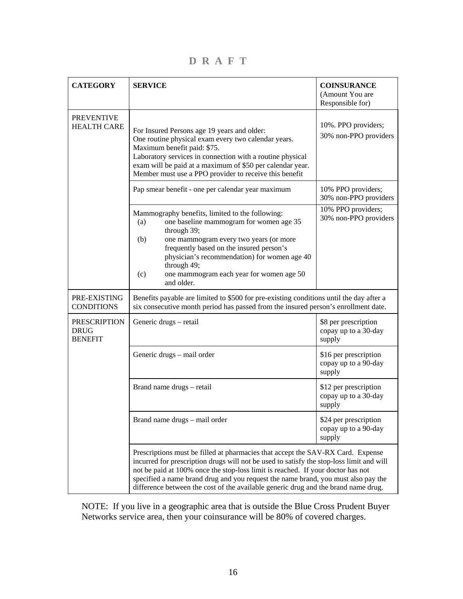**D R A F T** 

| <b>CATEGORY</b>                                      | <b>SERVICE</b>                                                                                                                                                                                                                                                                                                                                                                                                                            | <b>COINSURANCE</b><br>(Amount You are<br>Responsible for) |
|------------------------------------------------------|-------------------------------------------------------------------------------------------------------------------------------------------------------------------------------------------------------------------------------------------------------------------------------------------------------------------------------------------------------------------------------------------------------------------------------------------|-----------------------------------------------------------|
| <b>PREVENTIVE</b><br><b>HEALTH CARE</b>              | For Insured Persons age 19 years and older:<br>One routine physical exam every two calendar years.<br>Maximum benefit paid: \$75.<br>Laboratory services in connection with a routine physical<br>exam will be paid at a maximum of \$50 per calendar year.<br>Member must use a PPO provider to receive this benefit                                                                                                                     | 10%. PPO providers;<br>30% non-PPO providers              |
|                                                      | Pap smear benefit - one per calendar year maximum                                                                                                                                                                                                                                                                                                                                                                                         | 10% PPO providers;<br>30% non-PPO providers               |
|                                                      | Mammography benefits, limited to the following:<br>one baseline mammogram for women age 35<br>(a)<br>through 39;<br>one mammogram every two years (or more<br>(b)<br>frequently based on the insured person's<br>physician's recommendation) for women age 40<br>through 49;<br>one mammogram each year for women age 50<br>(c)<br>and older.                                                                                             | 10% PPO providers;<br>30% non-PPO providers               |
| PRE-EXISTING<br><b>CONDITIONS</b>                    | Benefits payable are limited to \$500 for pre-existing conditions until the day after a<br>six consecutive month period has passed from the insured person's enrollment date.                                                                                                                                                                                                                                                             |                                                           |
| <b>PRESCRIPTION</b><br><b>DRUG</b><br><b>BENEFIT</b> | Generic drugs - retail                                                                                                                                                                                                                                                                                                                                                                                                                    | \$8 per prescription<br>copay up to a 30-day<br>supply    |
|                                                      | Generic drugs - mail order                                                                                                                                                                                                                                                                                                                                                                                                                | \$16 per prescription<br>copay up to a 90-day<br>supply   |
|                                                      | Brand name drugs - retail                                                                                                                                                                                                                                                                                                                                                                                                                 | \$12 per prescription<br>copay up to a 30-day<br>supply   |
|                                                      | Brand name drugs - mail order                                                                                                                                                                                                                                                                                                                                                                                                             | \$24 per prescription<br>copay up to a 90-day<br>supply   |
|                                                      | Prescriptions must be filled at pharmacies that accept the SAV-RX Card. Expense<br>incurred for prescription drugs will not be used to satisfy the stop-loss limit and will<br>not be paid at 100% once the stop-loss limit is reached. If your doctor has not<br>specified a name brand drug and you request the name brand, you must also pay the<br>difference between the cost of the available generic drug and the brand name drug. |                                                           |

NOTE: If you live in a geographic area that is outside the Blue Cross Prudent Buyer Networks service area, then your coinsurance will be 80% of covered charges.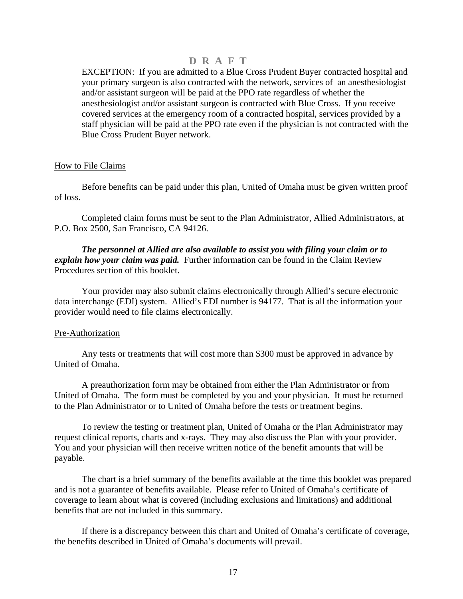EXCEPTION: If you are admitted to a Blue Cross Prudent Buyer contracted hospital and your primary surgeon is also contracted with the network, services of an anesthesiologist and/or assistant surgeon will be paid at the PPO rate regardless of whether the anesthesiologist and/or assistant surgeon is contracted with Blue Cross. If you receive covered services at the emergency room of a contracted hospital, services provided by a staff physician will be paid at the PPO rate even if the physician is not contracted with the Blue Cross Prudent Buyer network.

### How to File Claims

 Before benefits can be paid under this plan, United of Omaha must be given written proof of loss.

 Completed claim forms must be sent to the Plan Administrator, Allied Administrators, at P.O. Box 2500, San Francisco, CA 94126.

 *The personnel at Allied are also available to assist you with filing your claim or to explain how your claim was paid.* Further information can be found in the Claim Review Procedures section of this booklet.

 Your provider may also submit claims electronically through Allied's secure electronic data interchange (EDI) system. Allied's EDI number is 94177. That is all the information your provider would need to file claims electronically.

#### Pre-Authorization

 Any tests or treatments that will cost more than \$300 must be approved in advance by United of Omaha.

 A preauthorization form may be obtained from either the Plan Administrator or from United of Omaha. The form must be completed by you and your physician. It must be returned to the Plan Administrator or to United of Omaha before the tests or treatment begins.

 To review the testing or treatment plan, United of Omaha or the Plan Administrator may request clinical reports, charts and x-rays. They may also discuss the Plan with your provider. You and your physician will then receive written notice of the benefit amounts that will be payable.

 The chart is a brief summary of the benefits available at the time this booklet was prepared and is not a guarantee of benefits available. Please refer to United of Omaha's certificate of coverage to learn about what is covered (including exclusions and limitations) and additional benefits that are not included in this summary.

 If there is a discrepancy between this chart and United of Omaha's certificate of coverage, the benefits described in United of Omaha's documents will prevail.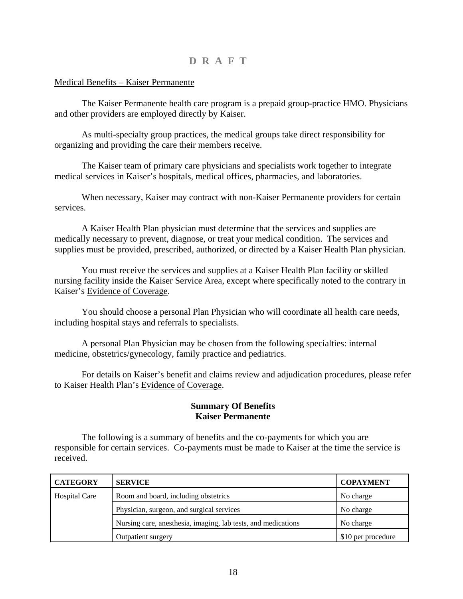### <span id="page-19-0"></span>Medical Benefits – Kaiser Permanente

 The Kaiser Permanente health care program is a prepaid group-practice HMO. Physicians and other providers are employed directly by Kaiser.

 As multi-specialty group practices, the medical groups take direct responsibility for organizing and providing the care their members receive.

 The Kaiser team of primary care physicians and specialists work together to integrate medical services in Kaiser's hospitals, medical offices, pharmacies, and laboratories.

 When necessary, Kaiser may contract with non-Kaiser Permanente providers for certain services.

 A Kaiser Health Plan physician must determine that the services and supplies are medically necessary to prevent, diagnose, or treat your medical condition. The services and supplies must be provided, prescribed, authorized, or directed by a Kaiser Health Plan physician.

 You must receive the services and supplies at a Kaiser Health Plan facility or skilled nursing facility inside the Kaiser Service Area, except where specifically noted to the contrary in Kaiser's Evidence of Coverage.

 You should choose a personal Plan Physician who will coordinate all health care needs, including hospital stays and referrals to specialists.

 A personal Plan Physician may be chosen from the following specialties: internal medicine, obstetrics/gynecology, family practice and pediatrics.

 For details on Kaiser's benefit and claims review and adjudication procedures, please refer to Kaiser Health Plan's Evidence of Coverage.

### **Summary Of Benefits Kaiser Permanente**

 The following is a summary of benefits and the co-payments for which you are responsible for certain services. Co-payments must be made to Kaiser at the time the service is received.

| <b>CATEGORY</b>      | <b>SERVICE</b>                                                | <b>COPAYMENT</b>   |
|----------------------|---------------------------------------------------------------|--------------------|
| <b>Hospital Care</b> | Room and board, including obstetrics                          | No charge          |
|                      | Physician, surgeon, and surgical services                     | No charge          |
|                      | Nursing care, anesthesia, imaging, lab tests, and medications | No charge          |
|                      | Outpatient surgery                                            | \$10 per procedure |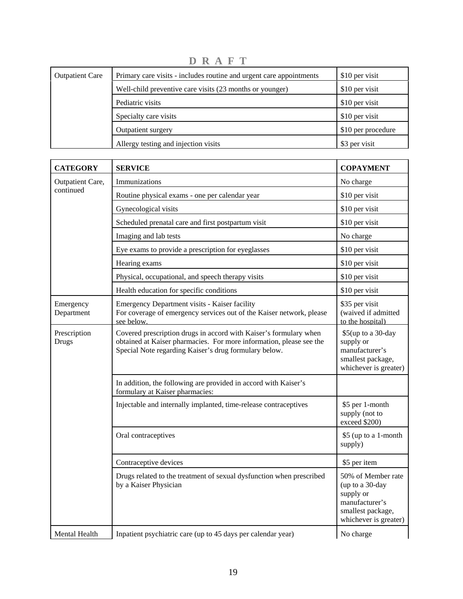| <b>Outpatient Care</b> | Primary care visits - includes routine and urgent care appointments | \$10 per visit     |
|------------------------|---------------------------------------------------------------------|--------------------|
|                        | Well-child preventive care visits (23 months or younger)            | \$10 per visit     |
|                        | Pediatric visits                                                    | \$10 per visit     |
|                        | Specialty care visits                                               | \$10 per visit     |
|                        | Outpatient surgery                                                  | \$10 per procedure |
|                        | Allergy testing and injection visits                                | \$3 per visit      |

**D R A F T** 

| <b>CATEGORY</b>              | <b>SERVICE</b>                                                                                                                                                                                    | <b>COPAYMENT</b>                                                                                                   |
|------------------------------|---------------------------------------------------------------------------------------------------------------------------------------------------------------------------------------------------|--------------------------------------------------------------------------------------------------------------------|
| Outpatient Care,             | Immunizations                                                                                                                                                                                     | No charge                                                                                                          |
| continued                    | Routine physical exams - one per calendar year                                                                                                                                                    | \$10 per visit                                                                                                     |
|                              | Gynecological visits                                                                                                                                                                              | \$10 per visit                                                                                                     |
|                              | Scheduled prenatal care and first postpartum visit                                                                                                                                                | \$10 per visit                                                                                                     |
|                              | Imaging and lab tests                                                                                                                                                                             | No charge                                                                                                          |
|                              | Eye exams to provide a prescription for eyeglasses                                                                                                                                                | \$10 per visit                                                                                                     |
|                              | Hearing exams                                                                                                                                                                                     | \$10 per visit                                                                                                     |
|                              | Physical, occupational, and speech therapy visits                                                                                                                                                 | \$10 per visit                                                                                                     |
|                              | Health education for specific conditions                                                                                                                                                          | \$10 per visit                                                                                                     |
| Emergency<br>Department      | Emergency Department visits - Kaiser facility<br>For coverage of emergency services out of the Kaiser network, please<br>see below.                                                               | \$35 per visit<br>(waived if admitted<br>to the hospital)                                                          |
| Prescription<br><b>Drugs</b> | Covered prescription drugs in accord with Kaiser's formulary when<br>obtained at Kaiser pharmacies. For more information, please see the<br>Special Note regarding Kaiser's drug formulary below. | \$5(up to a 30-day<br>supply or<br>manufacturer's<br>smallest package,<br>whichever is greater)                    |
|                              | In addition, the following are provided in accord with Kaiser's<br>formulary at Kaiser pharmacies:                                                                                                |                                                                                                                    |
|                              | Injectable and internally implanted, time-release contraceptives                                                                                                                                  | \$5 per 1-month<br>supply (not to<br>exceed \$200)                                                                 |
|                              | Oral contraceptives                                                                                                                                                                               | \$5 (up to a 1-month<br>supply)                                                                                    |
|                              | Contraceptive devices                                                                                                                                                                             | \$5 per item                                                                                                       |
|                              | Drugs related to the treatment of sexual dysfunction when prescribed<br>by a Kaiser Physician                                                                                                     | 50% of Member rate<br>(up to a 30-day<br>supply or<br>manufacturer's<br>smallest package,<br>whichever is greater) |
| Mental Health                | Inpatient psychiatric care (up to 45 days per calendar year)                                                                                                                                      | No charge                                                                                                          |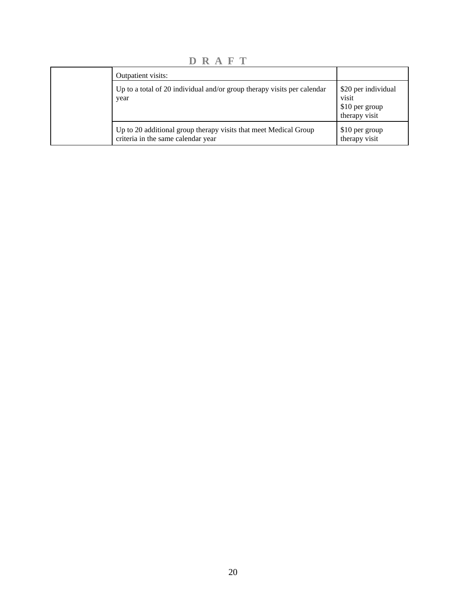**D R A F T** 

| Outpatient visits:                                                                                     |                                                                 |
|--------------------------------------------------------------------------------------------------------|-----------------------------------------------------------------|
| Up to a total of 20 individual and/or group therapy visits per calendar<br>year                        | \$20 per individual<br>visit<br>\$10 per group<br>therapy visit |
| Up to 20 additional group therapy visits that meet Medical Group<br>criteria in the same calendar year | \$10 per group<br>therapy visit                                 |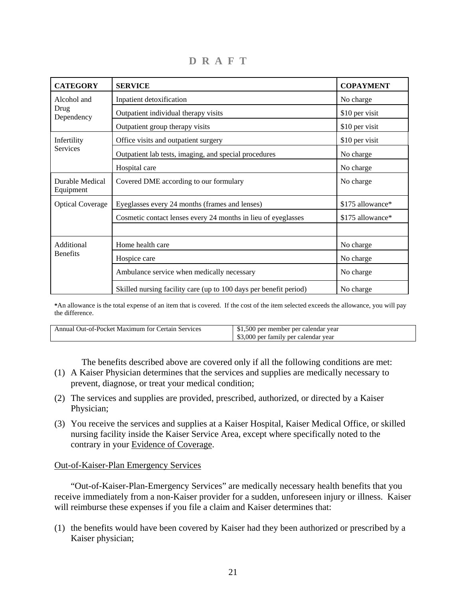| <b>CATEGORY</b>              | <b>SERVICE</b>                                                    | <b>COPAYMENT</b> |
|------------------------------|-------------------------------------------------------------------|------------------|
| Alcohol and                  | Inpatient detoxification                                          | No charge        |
| Drug<br>Dependency           | Outpatient individual therapy visits                              | \$10 per visit   |
|                              | Outpatient group therapy visits                                   | \$10 per visit   |
| Infertility                  | Office visits and outpatient surgery                              | \$10 per visit   |
| Services                     | Outpatient lab tests, imaging, and special procedures             | No charge        |
|                              | Hospital care                                                     | No charge        |
| Durable Medical<br>Equipment | Covered DME according to our formulary                            | No charge        |
| <b>Optical Coverage</b>      | Eyeglasses every 24 months (frames and lenses)                    | \$175 allowance* |
|                              | Cosmetic contact lenses every 24 months in lieu of eyeglasses     | \$175 allowance* |
|                              |                                                                   |                  |
| Additional                   | Home health care                                                  | No charge        |
| <b>Benefits</b>              | Hospice care                                                      | No charge        |
|                              | Ambulance service when medically necessary                        | No charge        |
|                              | Skilled nursing facility care (up to 100 days per benefit period) | No charge        |

**D R A F T** 

**\***An allowance is the total expense of an item that is covered. If the cost of the item selected exceeds the allowance, you will pay the difference.

| Annual Out-of-Pocket Maximum for Certain Services | \$1,500 per member per calendar year |
|---------------------------------------------------|--------------------------------------|
|                                                   | \$3,000 per family per calendar year |

The benefits described above are covered only if all the following conditions are met:

- (1) A Kaiser Physician determines that the services and supplies are medically necessary to prevent, diagnose, or treat your medical condition;
- (2) The services and supplies are provided, prescribed, authorized, or directed by a Kaiser Physician;
- (3) You receive the services and supplies at a Kaiser Hospital, Kaiser Medical Office, or skilled nursing facility inside the Kaiser Service Area, except where specifically noted to the contrary in your Evidence of Coverage.

#### Out-of-Kaiser-Plan Emergency Services

 "Out-of-Kaiser-Plan-Emergency Services" are medically necessary health benefits that you receive immediately from a non-Kaiser provider for a sudden, unforeseen injury or illness. Kaiser will reimburse these expenses if you file a claim and Kaiser determines that:

(1) the benefits would have been covered by Kaiser had they been authorized or prescribed by a Kaiser physician;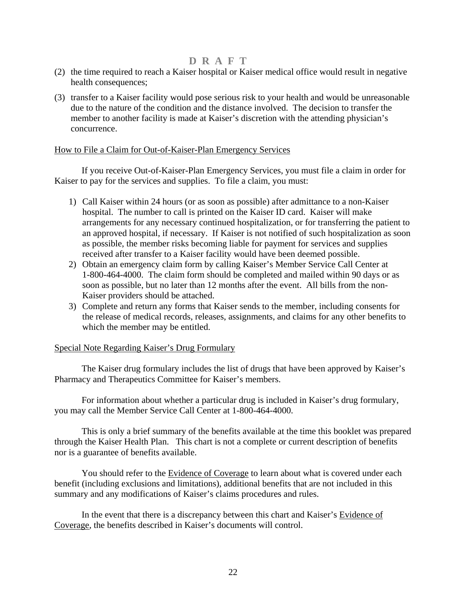- (2) the time required to reach a Kaiser hospital or Kaiser medical office would result in negative health consequences;
- (3) transfer to a Kaiser facility would pose serious risk to your health and would be unreasonable due to the nature of the condition and the distance involved. The decision to transfer the member to another facility is made at Kaiser's discretion with the attending physician's concurrence.

### How to File a Claim for Out-of-Kaiser-Plan Emergency Services

 If you receive Out-of-Kaiser-Plan Emergency Services, you must file a claim in order for Kaiser to pay for the services and supplies. To file a claim, you must:

- 1) Call Kaiser within 24 hours (or as soon as possible) after admittance to a non-Kaiser hospital. The number to call is printed on the Kaiser ID card. Kaiser will make arrangements for any necessary continued hospitalization, or for transferring the patient to an approved hospital, if necessary. If Kaiser is not notified of such hospitalization as soon as possible, the member risks becoming liable for payment for services and supplies received after transfer to a Kaiser facility would have been deemed possible.
- 2) Obtain an emergency claim form by calling Kaiser's Member Service Call Center at 1-800-464-4000. The claim form should be completed and mailed within 90 days or as soon as possible, but no later than 12 months after the event. All bills from the non-Kaiser providers should be attached.
- 3) Complete and return any forms that Kaiser sends to the member, including consents for the release of medical records, releases, assignments, and claims for any other benefits to which the member may be entitled.

### Special Note Regarding Kaiser's Drug Formulary

 The Kaiser drug formulary includes the list of drugs that have been approved by Kaiser's Pharmacy and Therapeutics Committee for Kaiser's members.

 For information about whether a particular drug is included in Kaiser's drug formulary, you may call the Member Service Call Center at 1-800-464-4000.

 This is only a brief summary of the benefits available at the time this booklet was prepared through the Kaiser Health Plan. This chart is not a complete or current description of benefits nor is a guarantee of benefits available.

 You should refer to the Evidence of Coverage to learn about what is covered under each benefit (including exclusions and limitations), additional benefits that are not included in this summary and any modifications of Kaiser's claims procedures and rules.

In the event that there is a discrepancy between this chart and Kaiser's Evidence of Coverage, the benefits described in Kaiser's documents will control.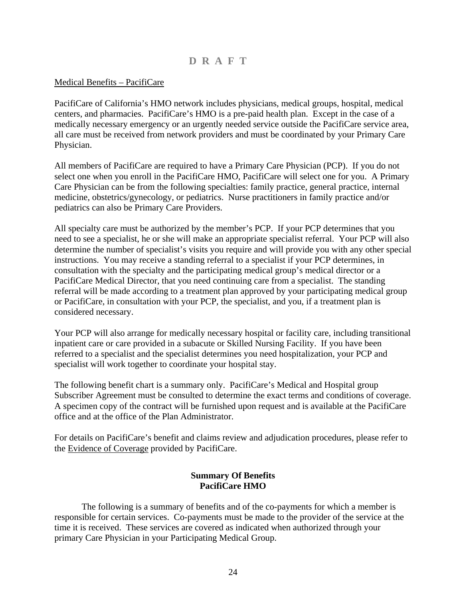### <span id="page-25-0"></span>Medical Benefits – PacifiCare

PacifiCare of California's HMO network includes physicians, medical groups, hospital, medical centers, and pharmacies. PacifiCare's HMO is a pre-paid health plan. Except in the case of a medically necessary emergency or an urgently needed service outside the PacifiCare service area, all care must be received from network providers and must be coordinated by your Primary Care Physician.

All members of PacifiCare are required to have a Primary Care Physician (PCP). If you do not select one when you enroll in the PacifiCare HMO, PacifiCare will select one for you. A Primary Care Physician can be from the following specialties: family practice, general practice, internal medicine, obstetrics/gynecology, or pediatrics. Nurse practitioners in family practice and/or pediatrics can also be Primary Care Providers.

All specialty care must be authorized by the member's PCP. If your PCP determines that you need to see a specialist, he or she will make an appropriate specialist referral. Your PCP will also determine the number of specialist's visits you require and will provide you with any other special instructions. You may receive a standing referral to a specialist if your PCP determines, in consultation with the specialty and the participating medical group's medical director or a PacifiCare Medical Director, that you need continuing care from a specialist. The standing referral will be made according to a treatment plan approved by your participating medical group or PacifiCare, in consultation with your PCP, the specialist, and you, if a treatment plan is considered necessary.

Your PCP will also arrange for medically necessary hospital or facility care, including transitional inpatient care or care provided in a subacute or Skilled Nursing Facility. If you have been referred to a specialist and the specialist determines you need hospitalization, your PCP and specialist will work together to coordinate your hospital stay.

The following benefit chart is a summary only. PacifiCare's Medical and Hospital group Subscriber Agreement must be consulted to determine the exact terms and conditions of coverage. A specimen copy of the contract will be furnished upon request and is available at the PacifiCare office and at the office of the Plan Administrator.

For details on PacifiCare's benefit and claims review and adjudication procedures, please refer to the Evidence of Coverage provided by PacifiCare.

### **Summary Of Benefits PacifiCare HMO**

 The following is a summary of benefits and of the co-payments for which a member is responsible for certain services. Co-payments must be made to the provider of the service at the time it is received. These services are covered as indicated when authorized through your primary Care Physician in your Participating Medical Group.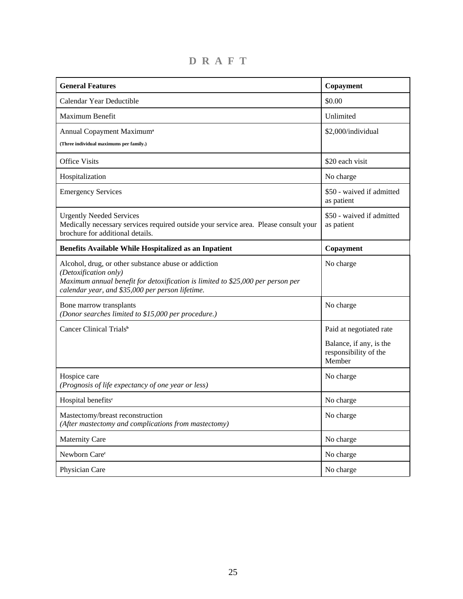| <b>General Features</b>                                                                                                                                                                                              | Copayment                                                  |
|----------------------------------------------------------------------------------------------------------------------------------------------------------------------------------------------------------------------|------------------------------------------------------------|
| Calendar Year Deductible                                                                                                                                                                                             | \$0.00                                                     |
| Maximum Benefit                                                                                                                                                                                                      | Unlimited                                                  |
| Annual Copayment Maximum <sup>a</sup><br>(Three individual maximums per family.)                                                                                                                                     | \$2,000/individual                                         |
| <b>Office Visits</b>                                                                                                                                                                                                 | \$20 each visit                                            |
| Hospitalization                                                                                                                                                                                                      | No charge                                                  |
| <b>Emergency Services</b>                                                                                                                                                                                            | \$50 - waived if admitted<br>as patient                    |
| <b>Urgently Needed Services</b><br>Medically necessary services required outside your service area. Please consult your<br>brochure for additional details.                                                          | \$50 - waived if admitted<br>as patient                    |
| Benefits Available While Hospitalized as an Inpatient                                                                                                                                                                | Copayment                                                  |
| Alcohol, drug, or other substance abuse or addiction<br>(Detoxification only)<br>Maximum annual benefit for detoxification is limited to \$25,000 per person per<br>calendar year, and \$35,000 per person lifetime. | No charge                                                  |
| Bone marrow transplants<br>(Donor searches limited to \$15,000 per procedure.)                                                                                                                                       | No charge                                                  |
| Cancer Clinical Trials <sup>b</sup>                                                                                                                                                                                  | Paid at negotiated rate                                    |
|                                                                                                                                                                                                                      | Balance, if any, is the<br>responsibility of the<br>Member |
| Hospice care<br>(Prognosis of life expectancy of one year or less)                                                                                                                                                   | No charge                                                  |
| Hospital benefits <sup>e</sup>                                                                                                                                                                                       | No charge                                                  |
| Mastectomy/breast reconstruction<br>(After mastectomy and complications from mastectomy)                                                                                                                             | No charge                                                  |
| <b>Maternity Care</b>                                                                                                                                                                                                | No charge                                                  |
| Newborn Care <sup>c</sup>                                                                                                                                                                                            | No charge                                                  |
| Physician Care                                                                                                                                                                                                       | No charge                                                  |

**D R A F T**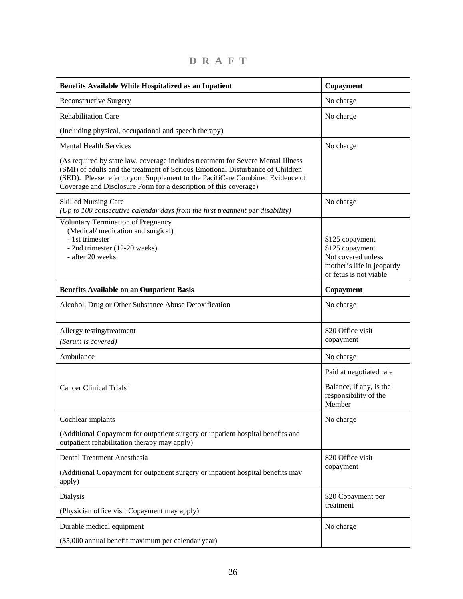| Benefits Available While Hospitalized as an Inpatient                                                                                                                                                                                                                                                                   | Copayment                                                                                                       |
|-------------------------------------------------------------------------------------------------------------------------------------------------------------------------------------------------------------------------------------------------------------------------------------------------------------------------|-----------------------------------------------------------------------------------------------------------------|
| <b>Reconstructive Surgery</b>                                                                                                                                                                                                                                                                                           | No charge                                                                                                       |
| <b>Rehabilitation Care</b>                                                                                                                                                                                                                                                                                              | No charge                                                                                                       |
| (Including physical, occupational and speech therapy)                                                                                                                                                                                                                                                                   |                                                                                                                 |
| <b>Mental Health Services</b>                                                                                                                                                                                                                                                                                           | No charge                                                                                                       |
| (As required by state law, coverage includes treatment for Severe Mental Illness<br>(SMI) of adults and the treatment of Serious Emotional Disturbance of Children<br>(SED). Please refer to your Supplement to the PacifiCare Combined Evidence of<br>Coverage and Disclosure Form for a description of this coverage) |                                                                                                                 |
| <b>Skilled Nursing Care</b><br>(Up to 100 consecutive calendar days from the first treatment per disability)                                                                                                                                                                                                            | No charge                                                                                                       |
| <b>Voluntary Termination of Pregnancy</b><br>(Medical/medication and surgical)<br>- 1st trimester<br>- 2nd trimester (12-20 weeks)<br>- after 20 weeks                                                                                                                                                                  | \$125 copayment<br>\$125 copayment<br>Not covered unless<br>mother's life in jeopardy<br>or fetus is not viable |
| <b>Benefits Available on an Outpatient Basis</b>                                                                                                                                                                                                                                                                        | Copayment                                                                                                       |
| Alcohol, Drug or Other Substance Abuse Detoxification                                                                                                                                                                                                                                                                   | No charge                                                                                                       |
| Allergy testing/treatment<br>(Serum is covered)                                                                                                                                                                                                                                                                         | \$20 Office visit<br>copayment                                                                                  |
| Ambulance                                                                                                                                                                                                                                                                                                               | No charge                                                                                                       |
| Cancer Clinical Trials <sup>c</sup>                                                                                                                                                                                                                                                                                     | Paid at negotiated rate<br>Balance, if any, is the<br>responsibility of the<br>Member                           |
| Cochlear implants                                                                                                                                                                                                                                                                                                       | No charge                                                                                                       |
| (Additional Copayment for outpatient surgery or inpatient hospital benefits and<br>outpatient rehabilitation therapy may apply)                                                                                                                                                                                         |                                                                                                                 |
| Dental Treatment Anesthesia                                                                                                                                                                                                                                                                                             | \$20 Office visit                                                                                               |
| (Additional Copayment for outpatient surgery or inpatient hospital benefits may<br>apply)                                                                                                                                                                                                                               | copayment                                                                                                       |
| Dialysis                                                                                                                                                                                                                                                                                                                | \$20 Copayment per                                                                                              |
| (Physician office visit Copayment may apply)                                                                                                                                                                                                                                                                            | treatment                                                                                                       |
| Durable medical equipment                                                                                                                                                                                                                                                                                               | No charge                                                                                                       |
| (\$5,000 annual benefit maximum per calendar year)                                                                                                                                                                                                                                                                      |                                                                                                                 |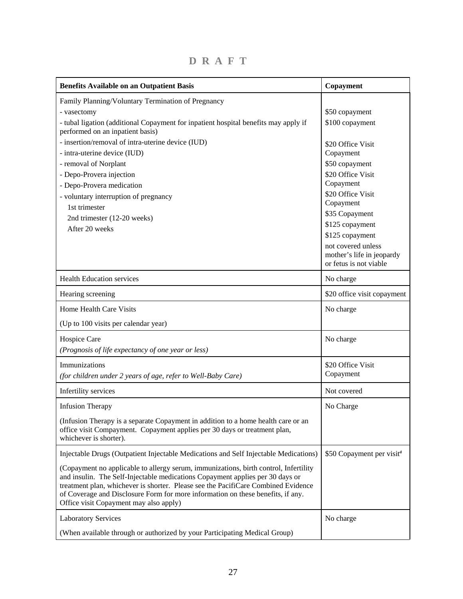| <b>Benefits Available on an Outpatient Basis</b>                                                                                                                                                                                                                                                                                                                                        | Copayment                                                                 |
|-----------------------------------------------------------------------------------------------------------------------------------------------------------------------------------------------------------------------------------------------------------------------------------------------------------------------------------------------------------------------------------------|---------------------------------------------------------------------------|
| Family Planning/Voluntary Termination of Pregnancy                                                                                                                                                                                                                                                                                                                                      |                                                                           |
| - vasectomy                                                                                                                                                                                                                                                                                                                                                                             | \$50 copayment                                                            |
| - tubal ligation (additional Copayment for inpatient hospital benefits may apply if<br>performed on an inpatient basis)                                                                                                                                                                                                                                                                 | \$100 copayment                                                           |
| - insertion/removal of intra-uterine device (IUD)                                                                                                                                                                                                                                                                                                                                       | \$20 Office Visit                                                         |
| - intra-uterine device (IUD)                                                                                                                                                                                                                                                                                                                                                            | Copayment                                                                 |
| - removal of Norplant                                                                                                                                                                                                                                                                                                                                                                   | \$50 copayment                                                            |
| - Depo-Provera injection                                                                                                                                                                                                                                                                                                                                                                | \$20 Office Visit                                                         |
| - Depo-Provera medication                                                                                                                                                                                                                                                                                                                                                               | Copayment                                                                 |
| - voluntary interruption of pregnancy                                                                                                                                                                                                                                                                                                                                                   | \$20 Office Visit                                                         |
| 1st trimester                                                                                                                                                                                                                                                                                                                                                                           | Copayment                                                                 |
| 2nd trimester (12-20 weeks)                                                                                                                                                                                                                                                                                                                                                             | \$35 Copayment                                                            |
| After 20 weeks                                                                                                                                                                                                                                                                                                                                                                          | \$125 copayment                                                           |
|                                                                                                                                                                                                                                                                                                                                                                                         | \$125 copayment                                                           |
|                                                                                                                                                                                                                                                                                                                                                                                         | not covered unless<br>mother's life in jeopardy<br>or fetus is not viable |
| <b>Health Education services</b>                                                                                                                                                                                                                                                                                                                                                        | No charge                                                                 |
| Hearing screening                                                                                                                                                                                                                                                                                                                                                                       | \$20 office visit copayment                                               |
| Home Health Care Visits                                                                                                                                                                                                                                                                                                                                                                 | No charge                                                                 |
| (Up to 100 visits per calendar year)                                                                                                                                                                                                                                                                                                                                                    |                                                                           |
| Hospice Care                                                                                                                                                                                                                                                                                                                                                                            | No charge                                                                 |
| (Prognosis of life expectancy of one year or less)                                                                                                                                                                                                                                                                                                                                      |                                                                           |
| Immunizations                                                                                                                                                                                                                                                                                                                                                                           | \$20 Office Visit                                                         |
| (for children under 2 years of age, refer to Well-Baby Care)                                                                                                                                                                                                                                                                                                                            | Copayment                                                                 |
| Infertility services                                                                                                                                                                                                                                                                                                                                                                    | Not covered                                                               |
| <b>Infusion Therapy</b>                                                                                                                                                                                                                                                                                                                                                                 | No Charge                                                                 |
| (Infusion Therapy is a separate Copayment in addition to a home health care or an<br>office visit Compayment. Copayment applies per 30 days or treatment plan,<br>whichever is shorter).                                                                                                                                                                                                |                                                                           |
| Injectable Drugs (Outpatient Injectable Medications and Self Injectable Medications)                                                                                                                                                                                                                                                                                                    | \$50 Copayment per visit <sup>d</sup>                                     |
| (Copayment no applicable to allergy serum, immunizations, birth control, Infertility<br>and insulin. The Self-Injectable medications Copayment applies per 30 days or<br>treatment plan, whichever is shorter. Please see the PacifiCare Combined Evidence<br>of Coverage and Disclosure Form for more information on these benefits, if any.<br>Office visit Copayment may also apply) |                                                                           |
| <b>Laboratory Services</b>                                                                                                                                                                                                                                                                                                                                                              | No charge                                                                 |
| (When available through or authorized by your Participating Medical Group)                                                                                                                                                                                                                                                                                                              |                                                                           |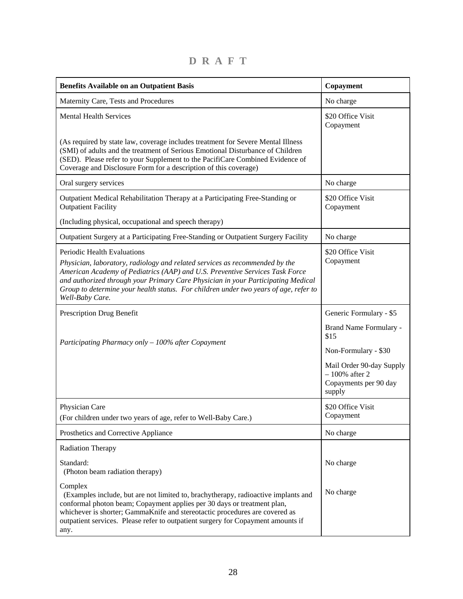**D R A F T** 

| <b>Benefits Available on an Outpatient Basis</b>                                                                                                                                                                                                                                                                                                                                          | Copayment                                                                       |
|-------------------------------------------------------------------------------------------------------------------------------------------------------------------------------------------------------------------------------------------------------------------------------------------------------------------------------------------------------------------------------------------|---------------------------------------------------------------------------------|
| Maternity Care, Tests and Procedures                                                                                                                                                                                                                                                                                                                                                      | No charge                                                                       |
| <b>Mental Health Services</b>                                                                                                                                                                                                                                                                                                                                                             | \$20 Office Visit<br>Copayment                                                  |
| (As required by state law, coverage includes treatment for Severe Mental Illness<br>(SMI) of adults and the treatment of Serious Emotional Disturbance of Children<br>(SED). Please refer to your Supplement to the PacifiCare Combined Evidence of<br>Coverage and Disclosure Form for a description of this coverage)                                                                   |                                                                                 |
| Oral surgery services                                                                                                                                                                                                                                                                                                                                                                     | No charge                                                                       |
| Outpatient Medical Rehabilitation Therapy at a Participating Free-Standing or<br><b>Outpatient Facility</b>                                                                                                                                                                                                                                                                               | \$20 Office Visit<br>Copayment                                                  |
| (Including physical, occupational and speech therapy)                                                                                                                                                                                                                                                                                                                                     |                                                                                 |
| Outpatient Surgery at a Participating Free-Standing or Outpatient Surgery Facility                                                                                                                                                                                                                                                                                                        | No charge                                                                       |
| Periodic Health Evaluations<br>Physician, laboratory, radiology and related services as recommended by the<br>American Academy of Pediatrics (AAP) and U.S. Preventive Services Task Force<br>and authorized through your Primary Care Physician in your Participating Medical<br>Group to determine your health status. For children under two years of age, refer to<br>Well-Baby Care. | \$20 Office Visit<br>Copayment                                                  |
| Prescription Drug Benefit                                                                                                                                                                                                                                                                                                                                                                 | Generic Formulary - \$5                                                         |
| Participating Pharmacy only - 100% after Copayment                                                                                                                                                                                                                                                                                                                                        | Brand Name Formulary -<br>\$15                                                  |
|                                                                                                                                                                                                                                                                                                                                                                                           | Non-Formulary - \$30                                                            |
|                                                                                                                                                                                                                                                                                                                                                                                           | Mail Order 90-day Supply<br>$-100\%$ after 2<br>Copayments per 90 day<br>supply |
| Physician Care<br>(For children under two years of age, refer to Well-Baby Care.)                                                                                                                                                                                                                                                                                                         | \$20 Office Visit<br>Copayment                                                  |
| Prosthetics and Corrective Appliance                                                                                                                                                                                                                                                                                                                                                      | No charge                                                                       |
| Radiation Therapy                                                                                                                                                                                                                                                                                                                                                                         |                                                                                 |
| Standard:<br>(Photon beam radiation therapy)                                                                                                                                                                                                                                                                                                                                              | No charge                                                                       |
| Complex<br>(Examples include, but are not limited to, brachytherapy, radioactive implants and<br>conformal photon beam; Copayment applies per 30 days or treatment plan,<br>whichever is shorter; GammaKnife and stereotactic procedures are covered as<br>outpatient services. Please refer to outpatient surgery for Copayment amounts if<br>any.                                       | No charge                                                                       |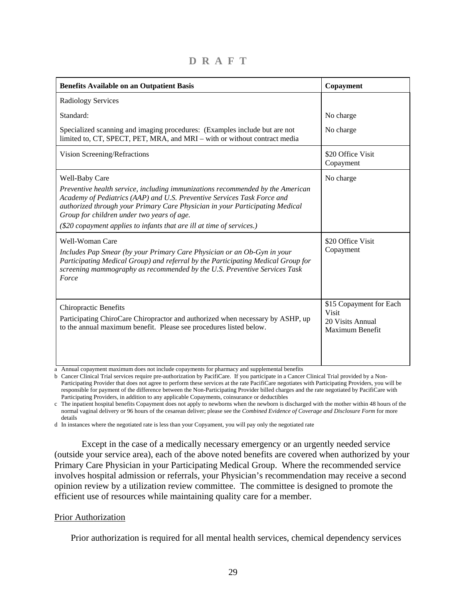**D R A F T** 

| <b>Benefits Available on an Outpatient Basis</b>                                                                                                                                                                                                                                                                                                                                   | Copayment                                                                      |
|------------------------------------------------------------------------------------------------------------------------------------------------------------------------------------------------------------------------------------------------------------------------------------------------------------------------------------------------------------------------------------|--------------------------------------------------------------------------------|
| <b>Radiology Services</b>                                                                                                                                                                                                                                                                                                                                                          |                                                                                |
| Standard:                                                                                                                                                                                                                                                                                                                                                                          | No charge                                                                      |
| Specialized scanning and imaging procedures: (Examples include but are not<br>limited to, CT, SPECT, PET, MRA, and MRI – with or without contract media                                                                                                                                                                                                                            | No charge                                                                      |
| Vision Screening/Refractions                                                                                                                                                                                                                                                                                                                                                       | \$20 Office Visit<br>Copayment                                                 |
| Well-Baby Care<br>Preventive health service, including immunizations recommended by the American<br>Academy of Pediatrics (AAP) and U.S. Preventive Services Task Force and<br>authorized through your Primary Care Physician in your Participating Medical<br>Group for children under two years of age.<br>(\$20 copayment applies to infants that are ill at time of services.) | No charge                                                                      |
| Well-Woman Care<br>Includes Pap Smear (by your Primary Care Physician or an Ob-Gyn in your<br>Participating Medical Group) and referral by the Participating Medical Group for<br>screening mammography as recommended by the U.S. Preventive Services Task<br>Force                                                                                                               | \$20 Office Visit<br>Copayment                                                 |
| <b>Chiropractic Benefits</b><br>Participating ChiroCare Chiropractor and authorized when necessary by ASHP, up<br>to the annual maximum benefit. Please see procedures listed below.                                                                                                                                                                                               | \$15 Copayment for Each<br><b>Visit</b><br>20 Visits Annual<br>Maximum Benefit |

a Annual copayment maximum does not include copayments for pharmacy and supplemental benefits

b Cancer Clinical Trial services require pre-authorization by PacifiCare. If you participate in a Cancer Clinical Trial provided by a Non-Participating Provider that does not agree to perform these services at the rate PacifiCare negotiates with Participating Providers, you will be responsible for payment of the difference between the Non-Participating Provider billed charges and the rate negotiated by PacifiCare with Participating Providers, in addition to any applicable Copayments, coinsurance or deductibles

c The inpatient hospital benefits Copayment does not apply to newborns when the newborn is discharged with the mother within 48 hours of the normal vaginal delivery or 96 hours of the cesarean deliver; please see the *Combined Evidence of Coverage and Disclosure Form* for more details

d In instances where the negotiated rate is less than your Copyament, you will pay only the negotiated rate

 Except in the case of a medically necessary emergency or an urgently needed service (outside your service area), each of the above noted benefits are covered when authorized by your Primary Care Physician in your Participating Medical Group. Where the recommended service involves hospital admission or referrals, your Physician's recommendation may receive a second opinion review by a utilization review committee. The committee is designed to promote the efficient use of resources while maintaining quality care for a member.

#### Prior Authorization

Prior authorization is required for all mental health services, chemical dependency services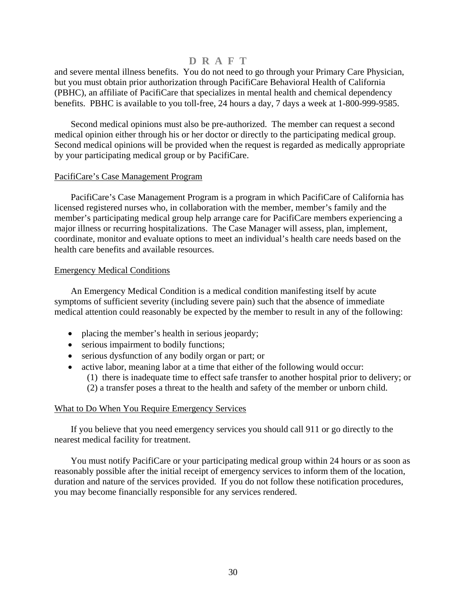and severe mental illness benefits. You do not need to go through your Primary Care Physician, but you must obtain prior authorization through PacifiCare Behavioral Health of California (PBHC), an affiliate of PacifiCare that specializes in mental health and chemical dependency benefits. PBHC is available to you toll-free, 24 hours a day, 7 days a week at 1-800-999-9585.

 Second medical opinions must also be pre-authorized. The member can request a second medical opinion either through his or her doctor or directly to the participating medical group. Second medical opinions will be provided when the request is regarded as medically appropriate by your participating medical group or by PacifiCare.

#### PacifiCare's Case Management Program

 PacifiCare's Case Management Program is a program in which PacifiCare of California has licensed registered nurses who, in collaboration with the member, member's family and the member's participating medical group help arrange care for PacifiCare members experiencing a major illness or recurring hospitalizations. The Case Manager will assess, plan, implement, coordinate, monitor and evaluate options to meet an individual's health care needs based on the health care benefits and available resources.

#### Emergency Medical Conditions

 An Emergency Medical Condition is a medical condition manifesting itself by acute symptoms of sufficient severity (including severe pain) such that the absence of immediate medical attention could reasonably be expected by the member to result in any of the following:

- placing the member's health in serious jeopardy;
- serious impairment to bodily functions;
- serious dysfunction of any bodily organ or part; or
- active labor, meaning labor at a time that either of the following would occur: (1) there is inadequate time to effect safe transfer to another hospital prior to delivery; or (2) a transfer poses a threat to the health and safety of the member or unborn child.

### What to Do When You Require Emergency Services

 If you believe that you need emergency services you should call 911 or go directly to the nearest medical facility for treatment.

 You must notify PacifiCare or your participating medical group within 24 hours or as soon as reasonably possible after the initial receipt of emergency services to inform them of the location, duration and nature of the services provided. If you do not follow these notification procedures, you may become financially responsible for any services rendered.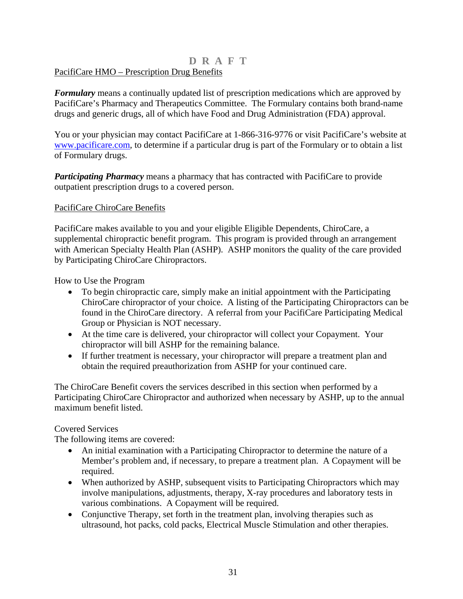### **D R A F T**  PacifiCare HMO – Prescription Drug Benefits

*Formulary* means a continually updated list of prescription medications which are approved by PacifiCare's Pharmacy and Therapeutics Committee. The Formulary contains both brand-name drugs and generic drugs, all of which have Food and Drug Administration (FDA) approval.

You or your physician may contact PacifiCare at 1-866-316-9776 or visit PacifiCare's website at [www.pacificare.com,](http://www.pacificare.com/) to determine if a particular drug is part of the Formulary or to obtain a list of Formulary drugs.

*Participating Pharmacy* means a pharmacy that has contracted with PacifiCare to provide outpatient prescription drugs to a covered person.

### PacifiCare ChiroCare Benefits

PacifiCare makes available to you and your eligible Eligible Dependents, ChiroCare, a supplemental chiropractic benefit program. This program is provided through an arrangement with American Specialty Health Plan (ASHP). ASHP monitors the quality of the care provided by Participating ChiroCare Chiropractors.

How to Use the Program

- To begin chiropractic care, simply make an initial appointment with the Participating ChiroCare chiropractor of your choice. A listing of the Participating Chiropractors can be found in the ChiroCare directory. A referral from your PacifiCare Participating Medical Group or Physician is NOT necessary.
- At the time care is delivered, your chiropractor will collect your Copayment. Your chiropractor will bill ASHP for the remaining balance.
- If further treatment is necessary, your chiropractor will prepare a treatment plan and obtain the required preauthorization from ASHP for your continued care.

The ChiroCare Benefit covers the services described in this section when performed by a Participating ChiroCare Chiropractor and authorized when necessary by ASHP, up to the annual maximum benefit listed.

### Covered Services

The following items are covered:

- An initial examination with a Participating Chiropractor to determine the nature of a Member's problem and, if necessary, to prepare a treatment plan. A Copayment will be required.
- When authorized by ASHP, subsequent visits to Participating Chiropractors which may involve manipulations, adjustments, therapy, X-ray procedures and laboratory tests in various combinations. A Copayment will be required.
- Conjunctive Therapy, set forth in the treatment plan, involving therapies such as ultrasound, hot packs, cold packs, Electrical Muscle Stimulation and other therapies.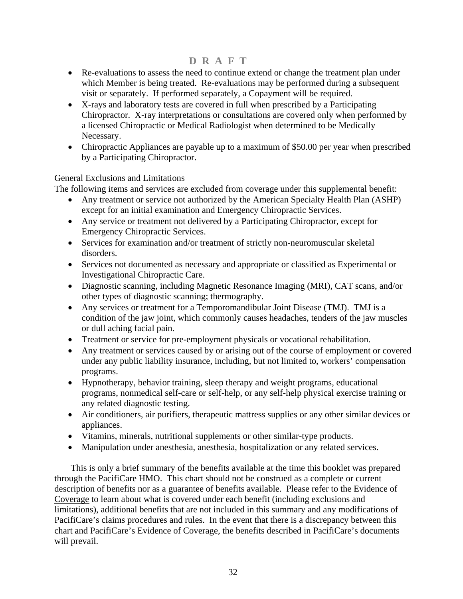- Re-evaluations to assess the need to continue extend or change the treatment plan under which Member is being treated. Re-evaluations may be performed during a subsequent visit or separately. If performed separately, a Copayment will be required.
- X-rays and laboratory tests are covered in full when prescribed by a Participating Chiropractor. X-ray interpretations or consultations are covered only when performed by a licensed Chiropractic or Medical Radiologist when determined to be Medically Necessary.
- Chiropractic Appliances are payable up to a maximum of \$50.00 per year when prescribed by a Participating Chiropractor.

### General Exclusions and Limitations

The following items and services are excluded from coverage under this supplemental benefit:

- Any treatment or service not authorized by the American Specialty Health Plan (ASHP) except for an initial examination and Emergency Chiropractic Services.
- Any service or treatment not delivered by a Participating Chiropractor, except for Emergency Chiropractic Services.
- Services for examination and/or treatment of strictly non-neuromuscular skeletal disorders.
- Services not documented as necessary and appropriate or classified as Experimental or Investigational Chiropractic Care.
- Diagnostic scanning, including Magnetic Resonance Imaging (MRI), CAT scans, and/or other types of diagnostic scanning; thermography.
- Any services or treatment for a Temporomandibular Joint Disease (TMJ). TMJ is a condition of the jaw joint, which commonly causes headaches, tenders of the jaw muscles or dull aching facial pain.
- Treatment or service for pre-employment physicals or vocational rehabilitation.
- Any treatment or services caused by or arising out of the course of employment or covered under any public liability insurance, including, but not limited to, workers' compensation programs.
- Hypnotherapy, behavior training, sleep therapy and weight programs, educational programs, nonmedical self-care or self-help, or any self-help physical exercise training or any related diagnostic testing.
- Air conditioners, air purifiers, therapeutic mattress supplies or any other similar devices or appliances.
- Vitamins, minerals, nutritional supplements or other similar-type products.
- Manipulation under anesthesia, anesthesia, hospitalization or any related services.

This is only a brief summary of the benefits available at the time this booklet was prepared through the PacifiCare HMO. This chart should not be construed as a complete or current description of benefits nor as a guarantee of benefits available. Please refer to the Evidence of Coverage to learn about what is covered under each benefit (including exclusions and limitations), additional benefits that are not included in this summary and any modifications of PacifiCare's claims procedures and rules. In the event that there is a discrepancy between this chart and PacifiCare's Evidence of Coverage, the benefits described in PacifiCare's documents will prevail.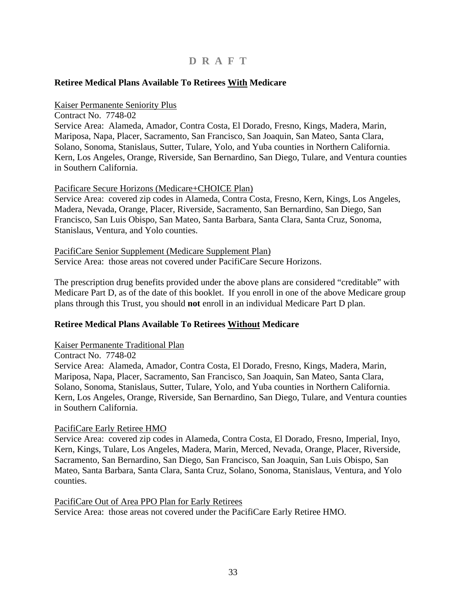### <span id="page-34-0"></span>**Retiree Medical Plans Available To Retirees With Medicare**

#### Kaiser Permanente Seniority Plus

Contract No. 7748-02 Service Area: Alameda, Amador, Contra Costa, El Dorado, Fresno, Kings, Madera, Marin, Mariposa, Napa, Placer, Sacramento, San Francisco, San Joaquin, San Mateo, Santa Clara, Solano, Sonoma, Stanislaus, Sutter, Tulare, Yolo, and Yuba counties in Northern California. Kern, Los Angeles, Orange, Riverside, San Bernardino, San Diego, Tulare, and Ventura counties in Southern California.

#### Pacificare Secure Horizons (Medicare+CHOICE Plan)

Service Area: covered zip codes in Alameda, Contra Costa, Fresno, Kern, Kings, Los Angeles, Madera, Nevada, Orange, Placer, Riverside, Sacramento, San Bernardino, San Diego, San Francisco, San Luis Obispo, San Mateo, Santa Barbara, Santa Clara, Santa Cruz, Sonoma, Stanislaus, Ventura, and Yolo counties.

PacifiCare Senior Supplement (Medicare Supplement Plan) Service Area: those areas not covered under PacifiCare Secure Horizons.

The prescription drug benefits provided under the above plans are considered "creditable" with Medicare Part D, as of the date of this booklet. If you enroll in one of the above Medicare group plans through this Trust, you should **not** enroll in an individual Medicare Part D plan.

### **Retiree Medical Plans Available To Retirees Without Medicare**

#### Kaiser Permanente Traditional Plan

Contract No. 7748-02 Service Area: Alameda, Amador, Contra Costa, El Dorado, Fresno, Kings, Madera, Marin, Mariposa, Napa, Placer, Sacramento, San Francisco, San Joaquin, San Mateo, Santa Clara, Solano, Sonoma, Stanislaus, Sutter, Tulare, Yolo, and Yuba counties in Northern California. Kern, Los Angeles, Orange, Riverside, San Bernardino, San Diego, Tulare, and Ventura counties in Southern California.

#### PacifiCare Early Retiree HMO

Service Area: covered zip codes in Alameda, Contra Costa, El Dorado, Fresno, Imperial, Inyo, Kern, Kings, Tulare, Los Angeles, Madera, Marin, Merced, Nevada, Orange, Placer, Riverside, Sacramento, San Bernardino, San Diego, San Francisco, San Joaquin, San Luis Obispo, San Mateo, Santa Barbara, Santa Clara, Santa Cruz, Solano, Sonoma, Stanislaus, Ventura, and Yolo counties.

PacifiCare Out of Area PPO Plan for Early Retirees Service Area: those areas not covered under the PacifiCare Early Retiree HMO.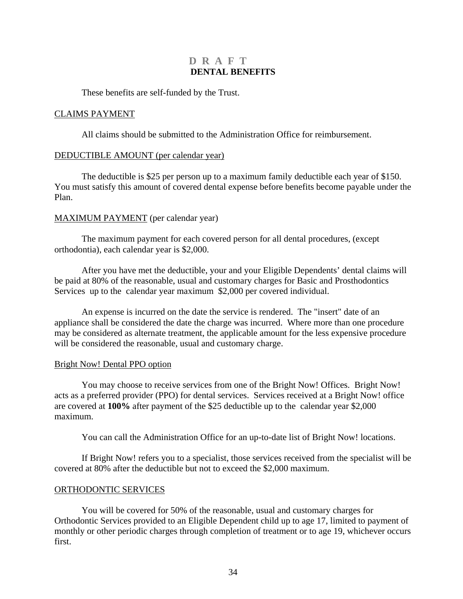### **D R A F T DENTAL BENEFITS**

<span id="page-35-0"></span>These benefits are self-funded by the Trust.

### CLAIMS PAYMENT

All claims should be submitted to the Administration Office for reimbursement.

### DEDUCTIBLE AMOUNT (per calendar year)

The deductible is \$25 per person up to a maximum family deductible each year of \$150. You must satisfy this amount of covered dental expense before benefits become payable under the Plan.

### MAXIMUM PAYMENT (per calendar year)

The maximum payment for each covered person for all dental procedures, (except orthodontia), each calendar year is \$2,000.

After you have met the deductible, your and your Eligible Dependents' dental claims will be paid at 80% of the reasonable, usual and customary charges for Basic and Prosthodontics Services up to the calendar year maximum \$2,000 per covered individual.

An expense is incurred on the date the service is rendered. The "insert" date of an appliance shall be considered the date the charge was incurred. Where more than one procedure may be considered as alternate treatment, the applicable amount for the less expensive procedure will be considered the reasonable, usual and customary charge.

### Bright Now! Dental PPO option

You may choose to receive services from one of the Bright Now! Offices. Bright Now! acts as a preferred provider (PPO) for dental services. Services received at a Bright Now! office are covered at **100%** after payment of the \$25 deductible up to the calendar year \$2,000 maximum.

You can call the Administration Office for an up-to-date list of Bright Now! locations.

If Bright Now! refers you to a specialist, those services received from the specialist will be covered at 80% after the deductible but not to exceed the \$2,000 maximum.

### ORTHODONTIC SERVICES

You will be covered for 50% of the reasonable, usual and customary charges for Orthodontic Services provided to an Eligible Dependent child up to age 17, limited to payment of monthly or other periodic charges through completion of treatment or to age 19, whichever occurs first.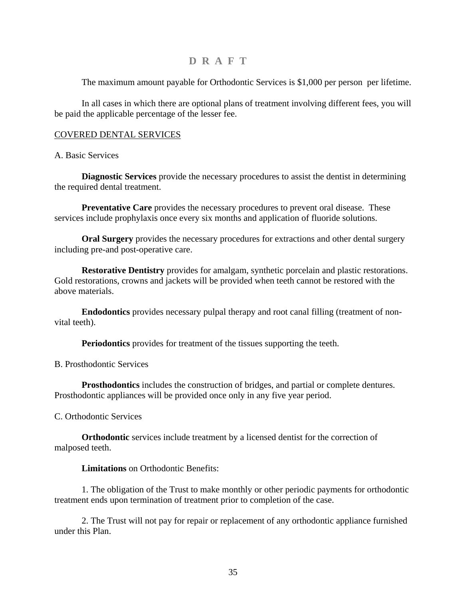The maximum amount payable for Orthodontic Services is \$1,000 per person per lifetime.

In all cases in which there are optional plans of treatment involving different fees, you will be paid the applicable percentage of the lesser fee.

### COVERED DENTAL SERVICES

### A. Basic Services

**Diagnostic Services** provide the necessary procedures to assist the dentist in determining the required dental treatment.

**Preventative Care** provides the necessary procedures to prevent oral disease. These services include prophylaxis once every six months and application of fluoride solutions.

**Oral Surgery** provides the necessary procedures for extractions and other dental surgery including pre-and post-operative care.

**Restorative Dentistry** provides for amalgam, synthetic porcelain and plastic restorations. Gold restorations, crowns and jackets will be provided when teeth cannot be restored with the above materials.

**Endodontics** provides necessary pulpal therapy and root canal filling (treatment of nonvital teeth).

**Periodontics** provides for treatment of the tissues supporting the teeth.

B. Prosthodontic Services

**Prosthodontics** includes the construction of bridges, and partial or complete dentures. Prosthodontic appliances will be provided once only in any five year period.

C. Orthodontic Services

**Orthodontic** services include treatment by a licensed dentist for the correction of malposed teeth.

#### **Limitations** on Orthodontic Benefits:

1. The obligation of the Trust to make monthly or other periodic payments for orthodontic treatment ends upon termination of treatment prior to completion of the case.

2. The Trust will not pay for repair or replacement of any orthodontic appliance furnished under this Plan.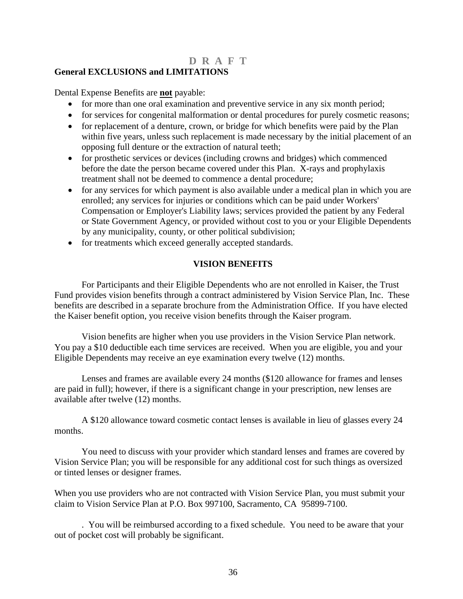### <span id="page-37-0"></span>**General EXCLUSIONS and LIMITATIONS**

Dental Expense Benefits are **not** payable:

- for more than one oral examination and preventive service in any six month period;
- for services for congenital malformation or dental procedures for purely cosmetic reasons;
- for replacement of a denture, crown, or bridge for which benefits were paid by the Plan within five years, unless such replacement is made necessary by the initial placement of an opposing full denture or the extraction of natural teeth;
- for prosthetic services or devices (including crowns and bridges) which commenced before the date the person became covered under this Plan. X-rays and prophylaxis treatment shall not be deemed to commence a dental procedure;
- for any services for which payment is also available under a medical plan in which you are enrolled; any services for injuries or conditions which can be paid under Workers' Compensation or Employer's Liability laws; services provided the patient by any Federal or State Government Agency, or provided without cost to you or your Eligible Dependents by any municipality, county, or other political subdivision;
- for treatments which exceed generally accepted standards.

### **VISION BENEFITS**

For Participants and their Eligible Dependents who are not enrolled in Kaiser, the Trust Fund provides vision benefits through a contract administered by Vision Service Plan, Inc. These benefits are described in a separate brochure from the Administration Office. If you have elected the Kaiser benefit option, you receive vision benefits through the Kaiser program.

Vision benefits are higher when you use providers in the Vision Service Plan network. You pay a \$10 deductible each time services are received. When you are eligible, you and your Eligible Dependents may receive an eye examination every twelve (12) months.

Lenses and frames are available every 24 months (\$120 allowance for frames and lenses are paid in full); however, if there is a significant change in your prescription, new lenses are available after twelve (12) months.

A \$120 allowance toward cosmetic contact lenses is available in lieu of glasses every 24 months.

You need to discuss with your provider which standard lenses and frames are covered by Vision Service Plan; you will be responsible for any additional cost for such things as oversized or tinted lenses or designer frames.

When you use providers who are not contracted with Vision Service Plan, you must submit your claim to Vision Service Plan at P.O. Box 997100, Sacramento, CA 95899-7100.

. You will be reimbursed according to a fixed schedule. You need to be aware that your out of pocket cost will probably be significant.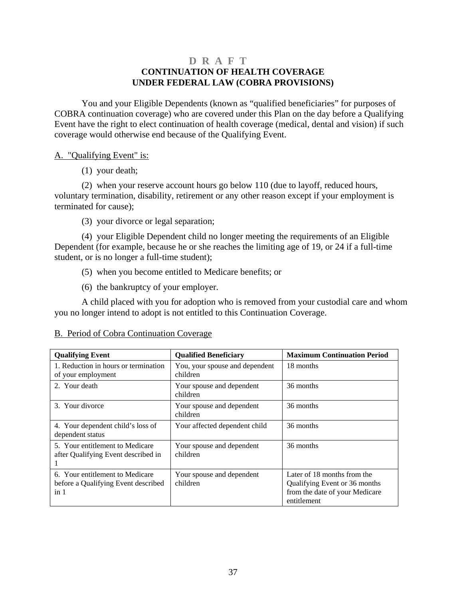### **D R A F T CONTINUATION OF HEALTH COVERAGE UNDER FEDERAL LAW (COBRA PROVISIONS)**

<span id="page-38-0"></span>You and your Eligible Dependents (known as "qualified beneficiaries" for purposes of COBRA continuation coverage) who are covered under this Plan on the day before a Qualifying Event have the right to elect continuation of health coverage (medical, dental and vision) if such coverage would otherwise end because of the Qualifying Event.

### A. "Qualifying Event" is:

(1) your death;

(2) when your reserve account hours go below 110 (due to layoff, reduced hours, voluntary termination, disability, retirement or any other reason except if your employment is terminated for cause);

(3) your divorce or legal separation;

 (4) your Eligible Dependent child no longer meeting the requirements of an Eligible Dependent (for example, because he or she reaches the limiting age of 19, or 24 if a full-time student, or is no longer a full-time student);

- (5) when you become entitled to Medicare benefits; or
- (6) the bankruptcy of your employer.

 A child placed with you for adoption who is removed from your custodial care and whom you no longer intend to adopt is not entitled to this Continuation Coverage.

| <b>Qualifying Event</b>                                                                   | <b>Qualified Beneficiary</b>               | <b>Maximum Continuation Period</b>                                                                            |
|-------------------------------------------------------------------------------------------|--------------------------------------------|---------------------------------------------------------------------------------------------------------------|
| 1. Reduction in hours or termination<br>of your employment                                | You, your spouse and dependent<br>children | 18 months                                                                                                     |
| 2. Your death                                                                             | Your spouse and dependent<br>children      | 36 months                                                                                                     |
| 3. Your divorce                                                                           | Your spouse and dependent<br>children      | 36 months                                                                                                     |
| 4. Your dependent child's loss of<br>dependent status                                     | Your affected dependent child              | 36 months                                                                                                     |
| 5. Your entitlement to Medicare<br>after Qualifying Event described in                    | Your spouse and dependent<br>children      | 36 months                                                                                                     |
| 6. Your entitlement to Medicare<br>before a Qualifying Event described<br>in <sub>1</sub> | Your spouse and dependent<br>children      | Later of 18 months from the<br>Qualifying Event or 36 months<br>from the date of your Medicare<br>entitlement |

### B. Period of Cobra Continuation Coverage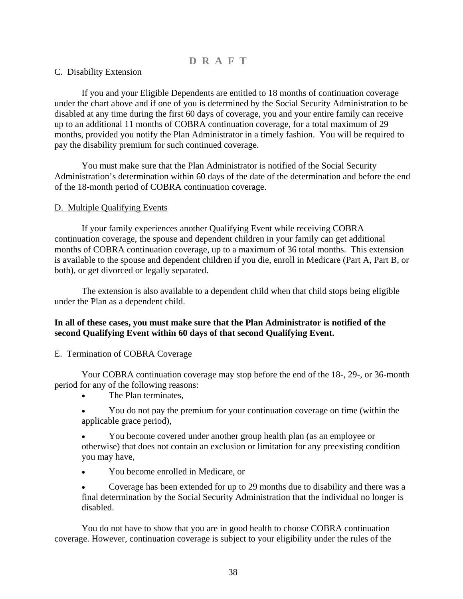### C. Disability Extension

 If you and your Eligible Dependents are entitled to 18 months of continuation coverage under the chart above and if one of you is determined by the Social Security Administration to be disabled at any time during the first 60 days of coverage, you and your entire family can receive up to an additional 11 months of COBRA continuation coverage, for a total maximum of 29 months, provided you notify the Plan Administrator in a timely fashion. You will be required to pay the disability premium for such continued coverage.

 You must make sure that the Plan Administrator is notified of the Social Security Administration's determination within 60 days of the date of the determination and before the end of the 18-month period of COBRA continuation coverage.

### D. Multiple Qualifying Events

 If your family experiences another Qualifying Event while receiving COBRA continuation coverage, the spouse and dependent children in your family can get additional months of COBRA continuation coverage, up to a maximum of 36 total months. This extension is available to the spouse and dependent children if you die, enroll in Medicare (Part A, Part B, or both), or get divorced or legally separated.

 The extension is also available to a dependent child when that child stops being eligible under the Plan as a dependent child.

### **In all of these cases, you must make sure that the Plan Administrator is notified of the second Qualifying Event within 60 days of that second Qualifying Event.**

#### E. Termination of COBRA Coverage

 Your COBRA continuation coverage may stop before the end of the 18-, 29-, or 36-month period for any of the following reasons:

- The Plan terminates,
- You do not pay the premium for your continuation coverage on time (within the applicable grace period),
- you may have, • You become covered under another group health plan (as an employee or otherwise) that does not contain an exclusion or limitation for any preexisting condition
- You become enrolled in Medicare, or

final determination by the Social Security Administration that the individual no longer is • Coverage has been extended for up to 29 months due to disability and there was a disabled.

You do not have to show that you are in good health to choose COBRA continuation coverage. However, continuation coverage is subject to your eligibility under the rules of the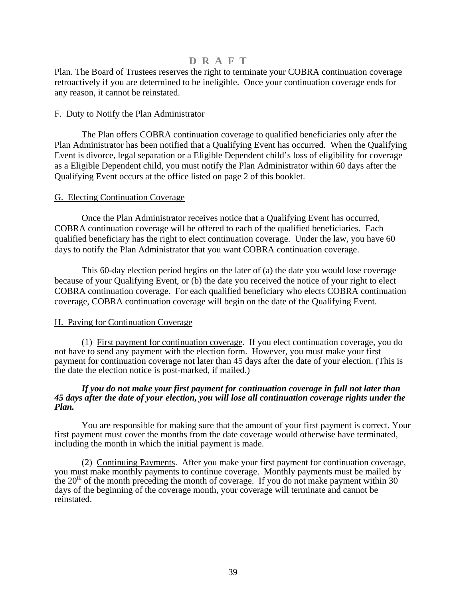Plan. The Board of Trustees reserves the right to terminate your COBRA continuation coverage retroactively if you are determined to be ineligible. Once your continuation coverage ends for any reason, it cannot be reinstated.

### F. Duty to Notify the Plan Administrator

 The Plan offers COBRA continuation coverage to qualified beneficiaries only after the Plan Administrator has been notified that a Qualifying Event has occurred. When the Qualifying Event is divorce, legal separation or a Eligible Dependent child's loss of eligibility for coverage as a Eligible Dependent child, you must notify the Plan Administrator within 60 days after the Qualifying Event occurs at the office listed on page 2 of this booklet.

### G. Electing Continuation Coverage

Once the Plan Administrator receives notice that a Qualifying Event has occurred, COBRA continuation coverage will be offered to each of the qualified beneficiaries. Each qualified beneficiary has the right to elect continuation coverage. Under the law, you have 60 days to notify the Plan Administrator that you want COBRA continuation coverage.

This 60-day election period begins on the later of (a) the date you would lose coverage because of your Qualifying Event, or (b) the date you received the notice of your right to elect COBRA continuation coverage. For each qualified beneficiary who elects COBRA continuation coverage, COBRA continuation coverage will begin on the date of the Qualifying Event.

### H. Paying for Continuation Coverage

(1) First payment for continuation coverage. If you elect continuation coverage, you do not have to send any payment with the election form. However, you must make your first payment for continuation coverage not later than 45 days after the date of your election. (This is the date the election notice is post-marked, if mailed.)

#### *If you do not make your first payment for continuation coverage in full not later than 45 days after the date of your election, you will lose all continuation coverage rights under the Plan.*

 You are responsible for making sure that the amount of your first payment is correct. Your first payment must cover the months from the date coverage would otherwise have terminated, including the month in which the initial payment is made.

 (2) Continuing Payments. After you make your first payment for continuation coverage, you must make monthly payments to continue coverage. Monthly payments must be mailed by the  $20<sup>th</sup>$  of the month preceding the month of coverage. If you do not make payment within 30 days of the beginning of the coverage month, your coverage will terminate and cannot be reinstated.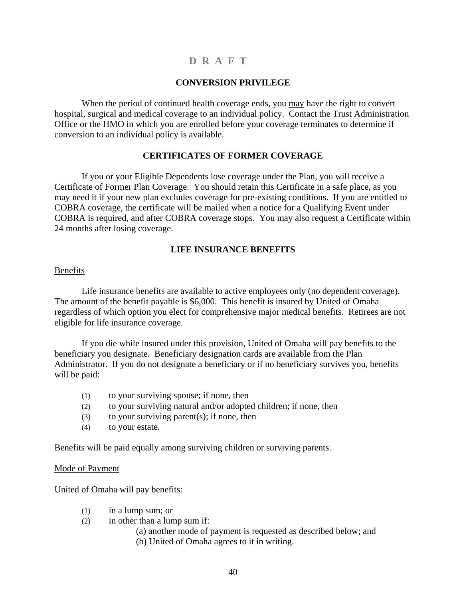### **CONVERSION PRIVILEGE**

<span id="page-41-0"></span>When the period of continued health coverage ends, you may have the right to convert hospital, surgical and medical coverage to an individual policy. Contact the Trust Administration Office or the HMO in which you are enrolled before your coverage terminates to determine if conversion to an individual policy is available.

### **CERTIFICATES OF FORMER COVERAGE**

If you or your Eligible Dependents lose coverage under the Plan, you will receive a Certificate of Former Plan Coverage. You should retain this Certificate in a safe place, as you may need it if your new plan excludes coverage for pre-existing conditions. If you are entitled to COBRA coverage, the certificate will be mailed when a notice for a Qualifying Event under COBRA is required, and after COBRA coverage stops. You may also request a Certificate within 24 months after losing coverage.

### **LIFE INSURANCE BENEFITS**

### Benefits

Life insurance benefits are available to active employees only (no dependent coverage). The amount of the benefit payable is \$6,000. This benefit is insured by United of Omaha regardless of which option you elect for comprehensive major medical benefits. Retirees are not eligible for life insurance coverage.

If you die while insured under this provision, United of Omaha will pay benefits to the beneficiary you designate. Beneficiary designation cards are available from the Plan Administrator. If you do not designate a beneficiary or if no beneficiary survives you, benefits will be paid:

- (1) to your surviving spouse; if none, then
- (2) to your surviving natural and/or adopted children; if none, then
- (3) to your surviving parent(s); if none, then
- (4) to your estate.

Benefits will be paid equally among surviving children or surviving parents.

#### Mode of Payment

United of Omaha will pay benefits:

- (1) in a lump sum; or
- (2) in other than a lump sum if:
	- (a) another mode of payment is requested as described below; and
	- (b) United of Omaha agrees to it in writing.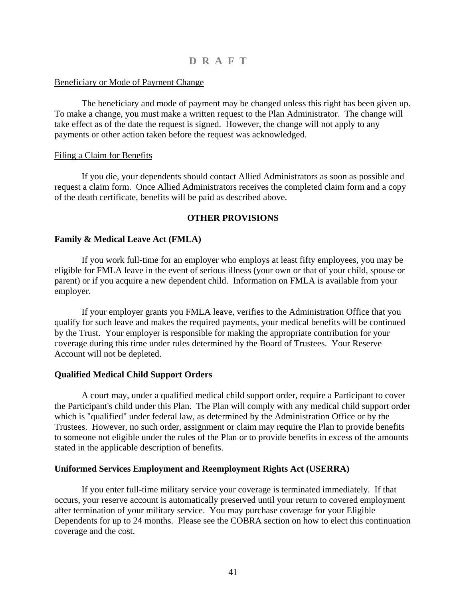### <span id="page-42-0"></span>Beneficiary or Mode of Payment Change

The beneficiary and mode of payment may be changed unless this right has been given up. To make a change, you must make a written request to the Plan Administrator. The change will take effect as of the date the request is signed. However, the change will not apply to any payments or other action taken before the request was acknowledged.

### Filing a Claim for Benefits

If you die, your dependents should contact Allied Administrators as soon as possible and request a claim form. Once Allied Administrators receives the completed claim form and a copy of the death certificate, benefits will be paid as described above.

### **OTHER PROVISIONS**

### **Family & Medical Leave Act (FMLA)**

If you work full-time for an employer who employs at least fifty employees, you may be eligible for FMLA leave in the event of serious illness (your own or that of your child, spouse or parent) or if you acquire a new dependent child. Information on FMLA is available from your employer.

If your employer grants you FMLA leave, verifies to the Administration Office that you qualify for such leave and makes the required payments, your medical benefits will be continued by the Trust. Your employer is responsible for making the appropriate contribution for your coverage during this time under rules determined by the Board of Trustees. Your Reserve Account will not be depleted.

#### **Qualified Medical Child Support Orders**

A court may, under a qualified medical child support order, require a Participant to cover the Participant's child under this Plan. The Plan will comply with any medical child support order which is "qualified" under federal law, as determined by the Administration Office or by the Trustees. However, no such order, assignment or claim may require the Plan to provide benefits to someone not eligible under the rules of the Plan or to provide benefits in excess of the amounts stated in the applicable description of benefits.

#### **Uniformed Services Employment and Reemployment Rights Act (USERRA)**

If you enter full-time military service your coverage is terminated immediately. If that occurs, your reserve account is automatically preserved until your return to covered employment after termination of your military service. You may purchase coverage for your Eligible Dependents for up to 24 months. Please see the COBRA section on how to elect this continuation coverage and the cost.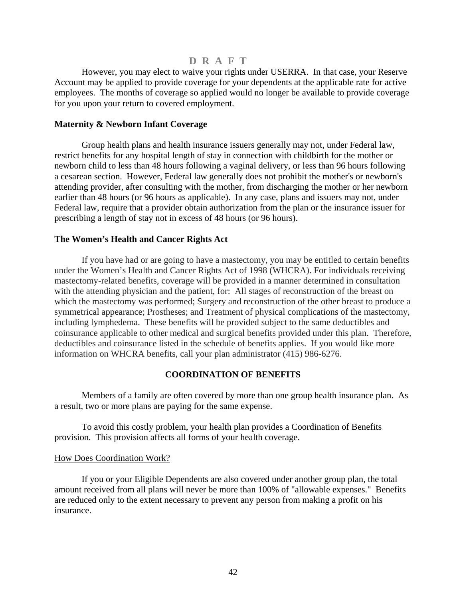<span id="page-43-0"></span>However, you may elect to waive your rights under USERRA. In that case, your Reserve Account may be applied to provide coverage for your dependents at the applicable rate for active employees. The months of coverage so applied would no longer be available to provide coverage for you upon your return to covered employment.

#### **Maternity & Newborn Infant Coverage**

Group health plans and health insurance issuers generally may not, under Federal law, restrict benefits for any hospital length of stay in connection with childbirth for the mother or newborn child to less than 48 hours following a vaginal delivery, or less than 96 hours following a cesarean section. However, Federal law generally does not prohibit the mother's or newborn's attending provider, after consulting with the mother, from discharging the mother or her newborn earlier than 48 hours (or 96 hours as applicable). In any case, plans and issuers may not, under Federal law, require that a provider obtain authorization from the plan or the insurance issuer for prescribing a length of stay not in excess of 48 hours (or 96 hours).

### **The Women's Health and Cancer Rights Act**

If you have had or are going to have a mastectomy, you may be entitled to certain benefits under the Women's Health and Cancer Rights Act of 1998 (WHCRA). For individuals receiving mastectomy-related benefits, coverage will be provided in a manner determined in consultation with the attending physician and the patient, for: All stages of reconstruction of the breast on which the mastectomy was performed; Surgery and reconstruction of the other breast to produce a symmetrical appearance; Prostheses; and Treatment of physical complications of the mastectomy, including lymphedema. These benefits will be provided subject to the same deductibles and coinsurance applicable to other medical and surgical benefits provided under this plan. Therefore, deductibles and coinsurance listed in the schedule of benefits applies. If you would like more information on WHCRA benefits, call your plan administrator (415) 986-6276.

### **COORDINATION OF BENEFITS**

Members of a family are often covered by more than one group health insurance plan. As a result, two or more plans are paying for the same expense.

To avoid this costly problem, your health plan provides a Coordination of Benefits provision. This provision affects all forms of your health coverage.

#### How Does Coordination Work?

If you or your Eligible Dependents are also covered under another group plan, the total amount received from all plans will never be more than 100% of "allowable expenses." Benefits are reduced only to the extent necessary to prevent any person from making a profit on his insurance.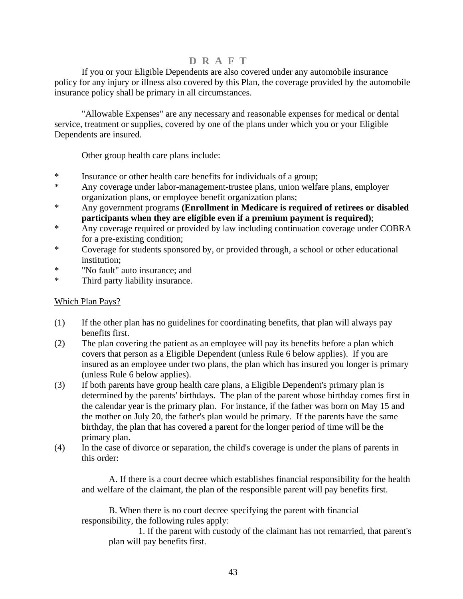If you or your Eligible Dependents are also covered under any automobile insurance policy for any injury or illness also covered by this Plan, the coverage provided by the automobile insurance policy shall be primary in all circumstances.

"Allowable Expenses" are any necessary and reasonable expenses for medical or dental service, treatment or supplies, covered by one of the plans under which you or your Eligible Dependents are insured.

Other group health care plans include:

- \* Insurance or other health care benefits for individuals of a group;
- \* Any coverage under labor-management-trustee plans, union welfare plans, employer organization plans, or employee benefit organization plans;
- \* Any government programs **(Enrollment in Medicare is required of retirees or disabled participants when they are eligible even if a premium payment is required)**;
- \* Any coverage required or provided by law including continuation coverage under COBRA for a pre-existing condition;
- \* Coverage for students sponsored by, or provided through, a school or other educational institution;
- \* "No fault" auto insurance; and
- \* Third party liability insurance.

### Which Plan Pays?

- (1) If the other plan has no guidelines for coordinating benefits, that plan will always pay benefits first.
- (2) The plan covering the patient as an employee will pay its benefits before a plan which covers that person as a Eligible Dependent (unless Rule 6 below applies). If you are insured as an employee under two plans, the plan which has insured you longer is primary (unless Rule 6 below applies).
- (3) If both parents have group health care plans, a Eligible Dependent's primary plan is determined by the parents' birthdays. The plan of the parent whose birthday comes first in the calendar year is the primary plan. For instance, if the father was born on May 15 and the mother on July 20, the father's plan would be primary. If the parents have the same birthday, the plan that has covered a parent for the longer period of time will be the primary plan.
- (4) In the case of divorce or separation, the child's coverage is under the plans of parents in this order:

A. If there is a court decree which establishes financial responsibility for the health and welfare of the claimant, the plan of the responsible parent will pay benefits first.

B. When there is no court decree specifying the parent with financial responsibility, the following rules apply:

 1. If the parent with custody of the claimant has not remarried, that parent's plan will pay benefits first.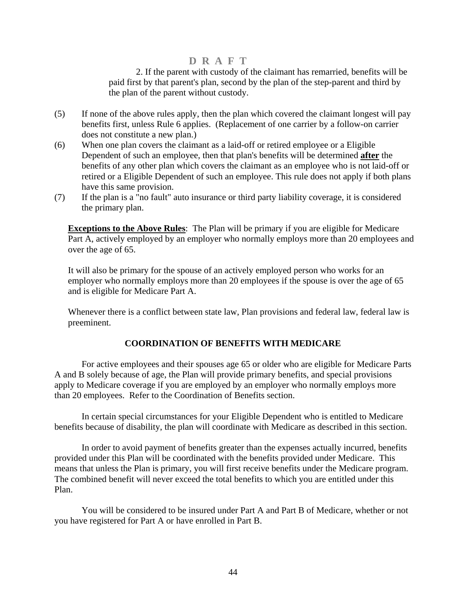2. If the parent with custody of the claimant has remarried, benefits will be paid first by that parent's plan, second by the plan of the step-parent and third by the plan of the parent without custody.

- <span id="page-45-0"></span>(5) If none of the above rules apply, then the plan which covered the claimant longest will pay benefits first, unless Rule 6 applies. (Replacement of one carrier by a follow-on carrier does not constitute a new plan.)
- (6) When one plan covers the claimant as a laid-off or retired employee or a Eligible Dependent of such an employee, then that plan's benefits will be determined **after** the benefits of any other plan which covers the claimant as an employee who is not laid-off or retired or a Eligible Dependent of such an employee. This rule does not apply if both plans have this same provision.
- (7) If the plan is a "no fault" auto insurance or third party liability coverage, it is considered the primary plan.

**Exceptions to the Above Rules**: The Plan will be primary if you are eligible for Medicare Part A, actively employed by an employer who normally employs more than 20 employees and over the age of 65.

It will also be primary for the spouse of an actively employed person who works for an employer who normally employs more than 20 employees if the spouse is over the age of 65 and is eligible for Medicare Part A.

Whenever there is a conflict between state law, Plan provisions and federal law, federal law is preeminent.

### **COORDINATION OF BENEFITS WITH MEDICARE**

For active employees and their spouses age 65 or older who are eligible for Medicare Parts A and B solely because of age, the Plan will provide primary benefits, and special provisions apply to Medicare coverage if you are employed by an employer who normally employs more than 20 employees. Refer to the Coordination of Benefits section.

In certain special circumstances for your Eligible Dependent who is entitled to Medicare benefits because of disability, the plan will coordinate with Medicare as described in this section.

In order to avoid payment of benefits greater than the expenses actually incurred, benefits provided under this Plan will be coordinated with the benefits provided under Medicare. This means that unless the Plan is primary, you will first receive benefits under the Medicare program. The combined benefit will never exceed the total benefits to which you are entitled under this Plan.

You will be considered to be insured under Part A and Part B of Medicare, whether or not you have registered for Part A or have enrolled in Part B.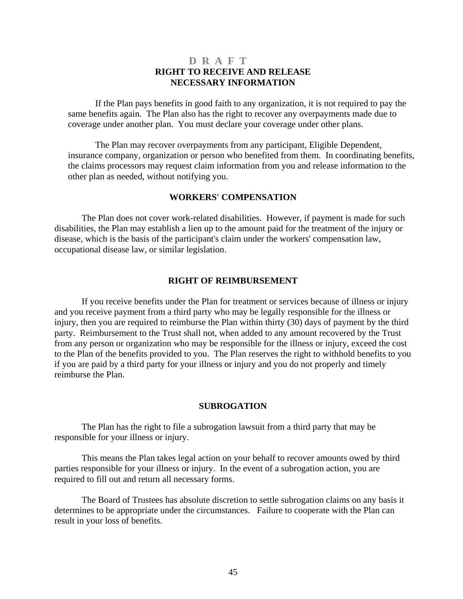### **D R A F T RIGHT TO RECEIVE AND RELEASE NECESSARY INFORMATION**

<span id="page-46-0"></span>If the Plan pays benefits in good faith to any organization, it is not required to pay the same benefits again. The Plan also has the right to recover any overpayments made due to coverage under another plan. You must declare your coverage under other plans.

The Plan may recover overpayments from any participant, Eligible Dependent, insurance company, organization or person who benefited from them. In coordinating benefits, the claims processors may request claim information from you and release information to the other plan as needed, without notifying you.

### **WORKERS' COMPENSATION**

The Plan does not cover work-related disabilities. However, if payment is made for such disabilities, the Plan may establish a lien up to the amount paid for the treatment of the injury or disease, which is the basis of the participant's claim under the workers' compensation law, occupational disease law, or similar legislation.

#### **RIGHT OF REIMBURSEMENT**

If you receive benefits under the Plan for treatment or services because of illness or injury and you receive payment from a third party who may be legally responsible for the illness or injury, then you are required to reimburse the Plan within thirty (30) days of payment by the third party. Reimbursement to the Trust shall not, when added to any amount recovered by the Trust from any person or organization who may be responsible for the illness or injury, exceed the cost to the Plan of the benefits provided to you. The Plan reserves the right to withhold benefits to you if you are paid by a third party for your illness or injury and you do not properly and timely reimburse the Plan.

#### **SUBROGATION**

The Plan has the right to file a subrogation lawsuit from a third party that may be responsible for your illness or injury.

This means the Plan takes legal action on your behalf to recover amounts owed by third parties responsible for your illness or injury. In the event of a subrogation action, you are required to fill out and return all necessary forms.

The Board of Trustees has absolute discretion to settle subrogation claims on any basis it determines to be appropriate under the circumstances. Failure to cooperate with the Plan can result in your loss of benefits.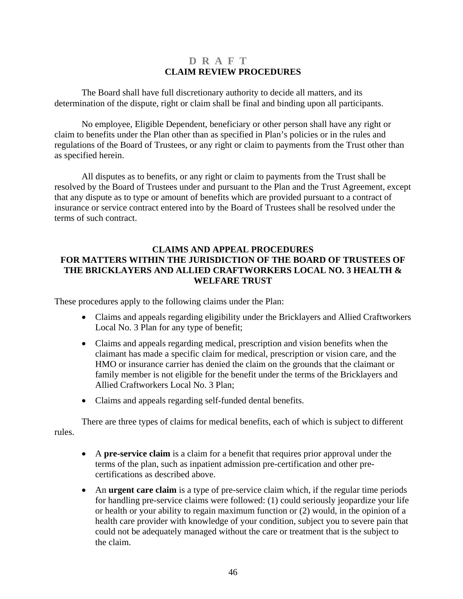### **D R A F T CLAIM REVIEW PROCEDURES**

<span id="page-47-0"></span>The Board shall have full discretionary authority to decide all matters, and its determination of the dispute, right or claim shall be final and binding upon all participants.

No employee, Eligible Dependent, beneficiary or other person shall have any right or claim to benefits under the Plan other than as specified in Plan's policies or in the rules and regulations of the Board of Trustees, or any right or claim to payments from the Trust other than as specified herein.

All disputes as to benefits, or any right or claim to payments from the Trust shall be resolved by the Board of Trustees under and pursuant to the Plan and the Trust Agreement, except that any dispute as to type or amount of benefits which are provided pursuant to a contract of insurance or service contract entered into by the Board of Trustees shall be resolved under the terms of such contract.

### **CLAIMS AND APPEAL PROCEDURES FOR MATTERS WITHIN THE JURISDICTION OF THE BOARD OF TRUSTEES OF THE BRICKLAYERS AND ALLIED CRAFTWORKERS LOCAL NO. 3 HEALTH & WELFARE TRUST**

These procedures apply to the following claims under the Plan:

- Claims and appeals regarding eligibility under the Bricklayers and Allied Craftworkers Local No. 3 Plan for any type of benefit;
- Claims and appeals regarding medical, prescription and vision benefits when the claimant has made a specific claim for medical, prescription or vision care, and the HMO or insurance carrier has denied the claim on the grounds that the claimant or family member is not eligible for the benefit under the terms of the Bricklayers and Allied Craftworkers Local No. 3 Plan;
- Claims and appeals regarding self-funded dental benefits.

There are three types of claims for medical benefits, each of which is subject to different rules.

- A **pre-service claim** is a claim for a benefit that requires prior approval under the terms of the plan, such as inpatient admission pre-certification and other precertifications as described above.
- An **urgent care claim** is a type of pre-service claim which, if the regular time periods for handling pre-service claims were followed: (1) could seriously jeopardize your life or health or your ability to regain maximum function or (2) would, in the opinion of a health care provider with knowledge of your condition, subject you to severe pain that could not be adequately managed without the care or treatment that is the subject to the claim.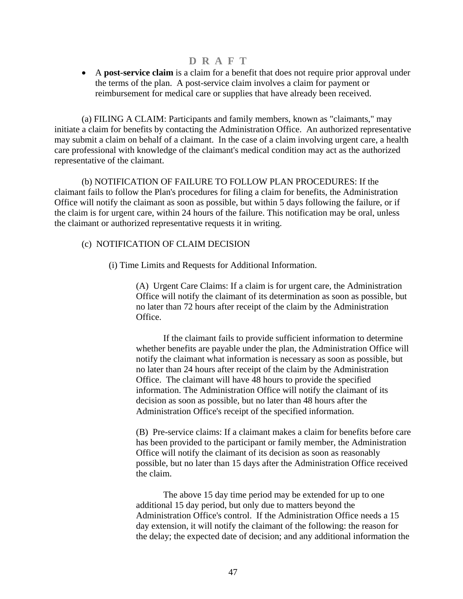• A **post-service claim** is a claim for a benefit that does not require prior approval under the terms of the plan. A post-service claim involves a claim for payment or reimbursement for medical care or supplies that have already been received.

(a) FILING A CLAIM: Participants and family members, known as "claimants," may initiate a claim for benefits by contacting the Administration Office. An authorized representative may submit a claim on behalf of a claimant. In the case of a claim involving urgent care, a health care professional with knowledge of the claimant's medical condition may act as the authorized representative of the claimant.

(b) NOTIFICATION OF FAILURE TO FOLLOW PLAN PROCEDURES: If the claimant fails to follow the Plan's procedures for filing a claim for benefits, the Administration Office will notify the claimant as soon as possible, but within 5 days following the failure, or if the claim is for urgent care, within 24 hours of the failure. This notification may be oral, unless the claimant or authorized representative requests it in writing.

### (c) NOTIFICATION OF CLAIM DECISION

(i) Time Limits and Requests for Additional Information.

(A) Urgent Care Claims: If a claim is for urgent care, the Administration Office will notify the claimant of its determination as soon as possible, but no later than 72 hours after receipt of the claim by the Administration Office.

If the claimant fails to provide sufficient information to determine whether benefits are payable under the plan, the Administration Office will notify the claimant what information is necessary as soon as possible, but no later than 24 hours after receipt of the claim by the Administration Office. The claimant will have 48 hours to provide the specified information. The Administration Office will notify the claimant of its decision as soon as possible, but no later than 48 hours after the Administration Office's receipt of the specified information.

(B) Pre-service claims: If a claimant makes a claim for benefits before care has been provided to the participant or family member, the Administration Office will notify the claimant of its decision as soon as reasonably possible, but no later than 15 days after the Administration Office received the claim.

The above 15 day time period may be extended for up to one additional 15 day period, but only due to matters beyond the Administration Office's control. If the Administration Office needs a 15 day extension, it will notify the claimant of the following: the reason for the delay; the expected date of decision; and any additional information the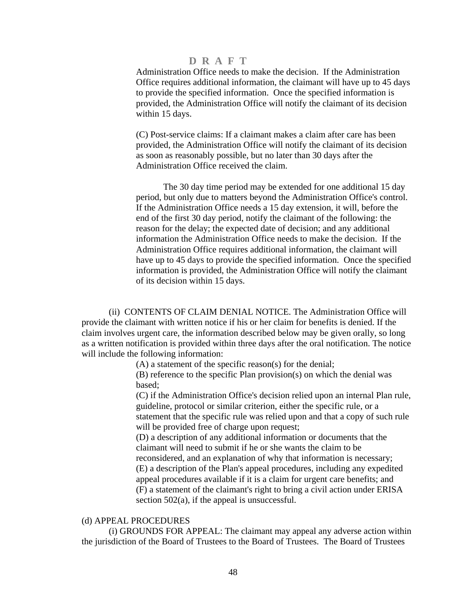Administration Office needs to make the decision. If the Administration Office requires additional information, the claimant will have up to 45 days to provide the specified information. Once the specified information is provided, the Administration Office will notify the claimant of its decision within 15 days.

(C) Post-service claims: If a claimant makes a claim after care has been provided, the Administration Office will notify the claimant of its decision as soon as reasonably possible, but no later than 30 days after the Administration Office received the claim.

The 30 day time period may be extended for one additional 15 day period, but only due to matters beyond the Administration Office's control. If the Administration Office needs a 15 day extension, it will, before the end of the first 30 day period, notify the claimant of the following: the reason for the delay; the expected date of decision; and any additional information the Administration Office needs to make the decision. If the Administration Office requires additional information, the claimant will have up to 45 days to provide the specified information. Once the specified information is provided, the Administration Office will notify the claimant of its decision within 15 days.

(ii) CONTENTS OF CLAIM DENIAL NOTICE. The Administration Office will provide the claimant with written notice if his or her claim for benefits is denied. If the claim involves urgent care, the information described below may be given orally, so long as a written notification is provided within three days after the oral notification. The notice will include the following information:

(A) a statement of the specific reason(s) for the denial;

(B) reference to the specific Plan provision(s) on which the denial was based;

(C) if the Administration Office's decision relied upon an internal Plan rule, guideline, protocol or similar criterion, either the specific rule, or a statement that the specific rule was relied upon and that a copy of such rule will be provided free of charge upon request;

(D) a description of any additional information or documents that the claimant will need to submit if he or she wants the claim to be reconsidered, and an explanation of why that information is necessary; (E) a description of the Plan's appeal procedures, including any expedited appeal procedures available if it is a claim for urgent care benefits; and (F) a statement of the claimant's right to bring a civil action under ERISA section 502(a), if the appeal is unsuccessful.

#### (d) APPEAL PROCEDURES

(i) GROUNDS FOR APPEAL: The claimant may appeal any adverse action within the jurisdiction of the Board of Trustees to the Board of Trustees. The Board of Trustees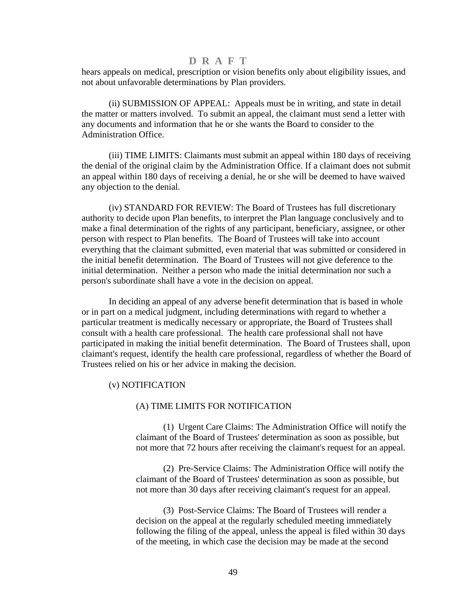hears appeals on medical, prescription or vision benefits only about eligibility issues, and not about unfavorable determinations by Plan providers.

(ii) SUBMISSION OF APPEAL: Appeals must be in writing, and state in detail the matter or matters involved. To submit an appeal, the claimant must send a letter with any documents and information that he or she wants the Board to consider to the Administration Office.

(iii) TIME LIMITS: Claimants must submit an appeal within 180 days of receiving the denial of the original claim by the Administration Office. If a claimant does not submit an appeal within 180 days of receiving a denial, he or she will be deemed to have waived any objection to the denial.

(iv) STANDARD FOR REVIEW: The Board of Trustees has full discretionary authority to decide upon Plan benefits, to interpret the Plan language conclusively and to make a final determination of the rights of any participant, beneficiary, assignee, or other person with respect to Plan benefits. The Board of Trustees will take into account everything that the claimant submitted, even material that was submitted or considered in the initial benefit determination. The Board of Trustees will not give deference to the initial determination. Neither a person who made the initial determination nor such a person's subordinate shall have a vote in the decision on appeal.

In deciding an appeal of any adverse benefit determination that is based in whole or in part on a medical judgment, including determinations with regard to whether a particular treatment is medically necessary or appropriate, the Board of Trustees shall consult with a health care professional. The health care professional shall not have participated in making the initial benefit determination. The Board of Trustees shall, upon claimant's request, identify the health care professional, regardless of whether the Board of Trustees relied on his or her advice in making the decision.

#### (v) NOTIFICATION

#### (A) TIME LIMITS FOR NOTIFICATION

(1) Urgent Care Claims: The Administration Office will notify the claimant of the Board of Trustees' determination as soon as possible, but not more that 72 hours after receiving the claimant's request for an appeal.

(2) Pre-Service Claims: The Administration Office will notify the claimant of the Board of Trustees' determination as soon as possible, but not more than 30 days after receiving claimant's request for an appeal.

(3) Post-Service Claims: The Board of Trustees will render a decision on the appeal at the regularly scheduled meeting immediately following the filing of the appeal, unless the appeal is filed within 30 days of the meeting, in which case the decision may be made at the second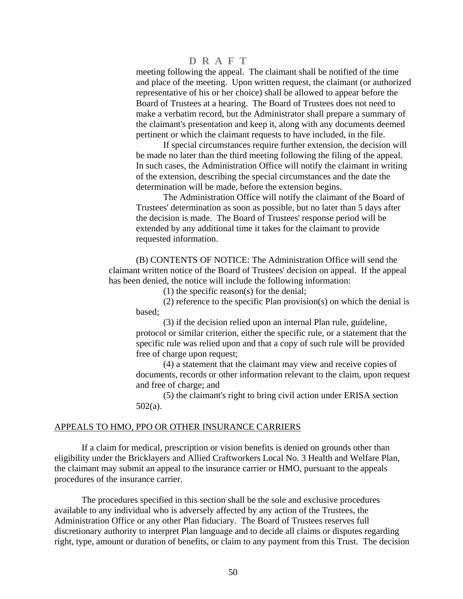meeting following the appeal. The claimant shall be notified of the time and place of the meeting. Upon written request, the claimant (or authorized representative of his or her choice) shall be allowed to appear before the Board of Trustees at a hearing. The Board of Trustees does not need to make a verbatim record, but the Administrator shall prepare a summary of the claimant's presentation and keep it, along with any documents deemed pertinent or which the claimant requests to have included, in the file.

If special circumstances require further extension, the decision will be made no later than the third meeting following the filing of the appeal. In such cases, the Administration Office will notify the claimant in writing of the extension, describing the special circumstances and the date the determination will be made, before the extension begins.

The Administration Office will notify the claimant of the Board of Trustees' determination as soon as possible, but no later than 5 days after the decision is made. The Board of Trustees' response period will be extended by any additional time it takes for the claimant to provide requested information.

(B) CONTENTS OF NOTICE: The Administration Office will send the claimant written notice of the Board of Trustees' decision on appeal. If the appeal has been denied, the notice will include the following information:

(1) the specific reason(s) for the denial;

(2) reference to the specific Plan provision(s) on which the denial is based;

(3) if the decision relied upon an internal Plan rule, guideline, protocol or similar criterion, either the specific rule, or a statement that the specific rule was relied upon and that a copy of such rule will be provided free of charge upon request;

(4) a statement that the claimant may view and receive copies of documents, records or other information relevant to the claim, upon request and free of charge; and

(5) the claimant's right to bring civil action under ERISA section 502(a).

#### APPEALS TO HMO, PPO OR OTHER INSURANCE CARRIERS

If a claim for medical, prescription or vision benefits is denied on grounds other than eligibility under the Bricklayers and Allied Craftworkers Local No. 3 Health and Welfare Plan, the claimant may submit an appeal to the insurance carrier or HMO, pursuant to the appeals procedures of the insurance carrier.

The procedures specified in this section shall be the sole and exclusive procedures available to any individual who is adversely affected by any action of the Trustees, the Administration Office or any other Plan fiduciary. The Board of Trustees reserves full discretionary authority to interpret Plan language and to decide all claims or disputes regarding right, type, amount or duration of benefits, or claim to any payment from this Trust. The decision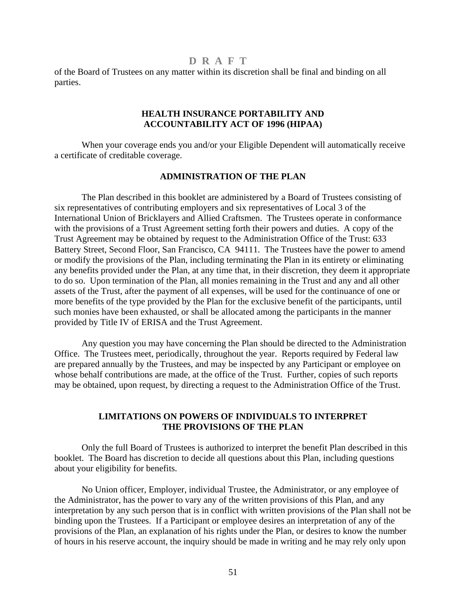<span id="page-52-0"></span>of the Board of Trustees on any matter within its discretion shall be final and binding on all parties.

### **HEALTH INSURANCE PORTABILITY AND ACCOUNTABILITY ACT OF 1996 (HIPAA)**

 When your coverage ends you and/or your Eligible Dependent will automatically receive a certificate of creditable coverage.

### **ADMINISTRATION OF THE PLAN**

The Plan described in this booklet are administered by a Board of Trustees consisting of six representatives of contributing employers and six representatives of Local 3 of the International Union of Bricklayers and Allied Craftsmen. The Trustees operate in conformance with the provisions of a Trust Agreement setting forth their powers and duties. A copy of the Trust Agreement may be obtained by request to the Administration Office of the Trust: 633 Battery Street, Second Floor, San Francisco, CA 94111. The Trustees have the power to amend or modify the provisions of the Plan, including terminating the Plan in its entirety or eliminating any benefits provided under the Plan, at any time that, in their discretion, they deem it appropriate to do so. Upon termination of the Plan, all monies remaining in the Trust and any and all other assets of the Trust, after the payment of all expenses, will be used for the continuance of one or more benefits of the type provided by the Plan for the exclusive benefit of the participants, until such monies have been exhausted, or shall be allocated among the participants in the manner provided by Title IV of ERISA and the Trust Agreement.

Any question you may have concerning the Plan should be directed to the Administration Office. The Trustees meet, periodically, throughout the year. Reports required by Federal law are prepared annually by the Trustees, and may be inspected by any Participant or employee on whose behalf contributions are made, at the office of the Trust. Further, copies of such reports may be obtained, upon request, by directing a request to the Administration Office of the Trust.

### **LIMITATIONS ON POWERS OF INDIVIDUALS TO INTERPRET THE PROVISIONS OF THE PLAN**

Only the full Board of Trustees is authorized to interpret the benefit Plan described in this booklet. The Board has discretion to decide all questions about this Plan, including questions about your eligibility for benefits.

No Union officer, Employer, individual Trustee, the Administrator, or any employee of the Administrator, has the power to vary any of the written provisions of this Plan, and any interpretation by any such person that is in conflict with written provisions of the Plan shall not be binding upon the Trustees. If a Participant or employee desires an interpretation of any of the provisions of the Plan, an explanation of his rights under the Plan, or desires to know the number of hours in his reserve account, the inquiry should be made in writing and he may rely only upon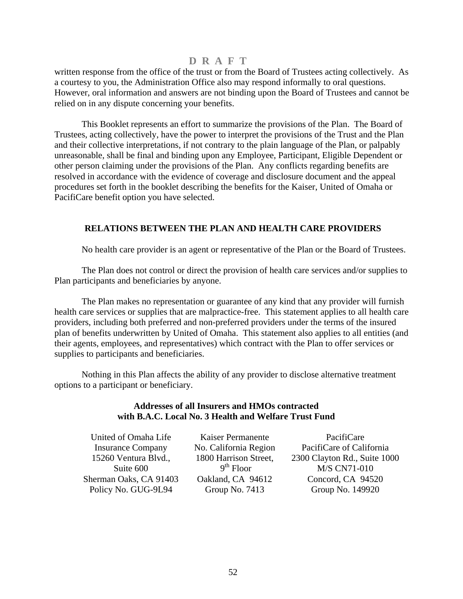<span id="page-53-0"></span>written response from the office of the trust or from the Board of Trustees acting collectively. As a courtesy to you, the Administration Office also may respond informally to oral questions. However, oral information and answers are not binding upon the Board of Trustees and cannot be relied on in any dispute concerning your benefits.

This Booklet represents an effort to summarize the provisions of the Plan. The Board of Trustees, acting collectively, have the power to interpret the provisions of the Trust and the Plan and their collective interpretations, if not contrary to the plain language of the Plan, or palpably unreasonable, shall be final and binding upon any Employee, Participant, Eligible Dependent or other person claiming under the provisions of the Plan. Any conflicts regarding benefits are resolved in accordance with the evidence of coverage and disclosure document and the appeal procedures set forth in the booklet describing the benefits for the Kaiser, United of Omaha or PacifiCare benefit option you have selected.

### **RELATIONS BETWEEN THE PLAN AND HEALTH CARE PROVIDERS**

No health care provider is an agent or representative of the Plan or the Board of Trustees.

The Plan does not control or direct the provision of health care services and/or supplies to Plan participants and beneficiaries by anyone.

The Plan makes no representation or guarantee of any kind that any provider will furnish health care services or supplies that are malpractice-free. This statement applies to all health care providers, including both preferred and non-preferred providers under the terms of the insured plan of benefits underwritten by United of Omaha. This statement also applies to all entities (and their agents, employees, and representatives) which contract with the Plan to offer services or supplies to participants and beneficiaries.

Nothing in this Plan affects the ability of any provider to disclose alternative treatment options to a participant or beneficiary.

### **Addresses of all Insurers and HMOs contracted with B.A.C. Local No. 3 Health and Welfare Trust Fund**

| United of Omaha Life     | Kaiser Permanente     | PacifiCare                   |
|--------------------------|-----------------------|------------------------------|
| <b>Insurance Company</b> | No. California Region | PacifiCare of California     |
| 15260 Ventura Blvd.,     | 1800 Harrison Street, | 2300 Clayton Rd., Suite 1000 |
| Suite 600                | $9th$ Floor           | <b>M/S CN71-010</b>          |
| Sherman Oaks, CA 91403   | Oakland, CA 94612     | Concord, CA 94520            |
| Policy No. GUG-9L94      | Group No. 7413        | Group No. 149920             |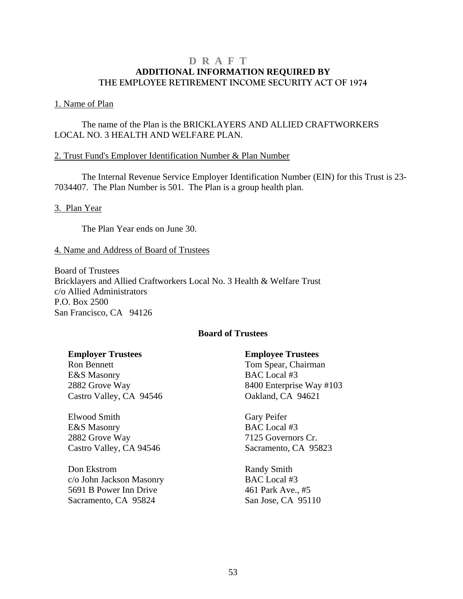### <span id="page-54-0"></span>**D R A F T ADDITIONAL INFORMATION REQUIRED BY THE EMPLOYEE RETIREMENT INCOME SECURITY ACT OF 1974**

### 1. Name of Plan

 The name of the Plan is the BRICKLAYERS AND ALLIED CRAFTWORKERS LOCAL NO. 3 HEALTH AND WELFARE PLAN.

### 2. Trust Fund's Employer Identification Number & Plan Number

 The Internal Revenue Service Employer Identification Number (EIN) for this Trust is 23- 7034407. The Plan Number is 501. The Plan is a group health plan.

3. Plan Year

The Plan Year ends on June 30.

#### 4. Name and Address of Board of Trustees

Board of Trustees Bricklayers and Allied Craftworkers Local No. 3 Health & Welfare Trust c/o Allied Administrators P.O. Box 2500 San Francisco, CA 94126

### **Board of Trustees**

Ron Bennett Tom Spear, Chairman E&S Masonry BAC Local #3 Castro Valley, CA 94546 Qakland, CA 94621

Elwood Smith Gary Peifer E&S Masonry BAC Local #3 2882 Grove Way 7125 Governors Cr. Castro Valley, CA 94546 Sacramento, CA 95823

Don Ekstrom Randy Smith c/o John Jackson Masonry BAC Local #3 5691 B Power Inn Drive 461 Park Ave., #5 Sacramento, CA 95824 San Jose, CA 95110

### **Employer Trustees Employee Trustees**

2882 Grove Way 8400 Enterprise Way #103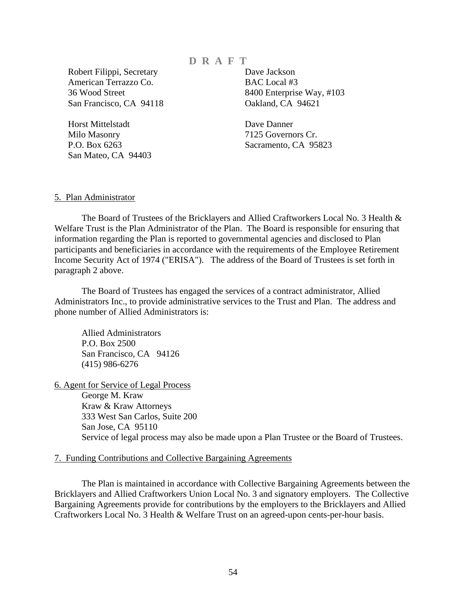Robert Filippi, Secretary Dave Jackson American Terrazzo Co. BAC Local #3 San Francisco, CA 94118 Oakland, CA 94621

 Horst Mittelstadt Dave Danner Milo Masonry 7125 Governors Cr. San Mateo, CA 94403

36 Wood Street 8400 Enterprise Way, #103

P.O. Box 6263 Sacramento, CA 95823

#### 5. Plan Administrator

The Board of Trustees of the Bricklayers and Allied Craftworkers Local No. 3 Health & Welfare Trust is the Plan Administrator of the Plan. The Board is responsible for ensuring that information regarding the Plan is reported to governmental agencies and disclosed to Plan participants and beneficiaries in accordance with the requirements of the Employee Retirement Income Security Act of 1974 ("ERISA"). The address of the Board of Trustees is set forth in paragraph 2 above.

The Board of Trustees has engaged the services of a contract administrator, Allied Administrators Inc., to provide administrative services to the Trust and Plan. The address and phone number of Allied Administrators is:

Allied Administrators P.O. Box 2500 San Francisco, CA 94126 (415) 986-6276

6. Agent for Service of Legal Process George M. Kraw Kraw & Kraw Attorneys 333 West San Carlos, Suite 200 San Jose, CA 95110 Service of legal process may also be made upon a Plan Trustee or the Board of Trustees.

#### 7. Funding Contributions and Collective Bargaining Agreements

The Plan is maintained in accordance with Collective Bargaining Agreements between the Bricklayers and Allied Craftworkers Union Local No. 3 and signatory employers. The Collective Bargaining Agreements provide for contributions by the employers to the Bricklayers and Allied Craftworkers Local No. 3 Health & Welfare Trust on an agreed-upon cents-per-hour basis.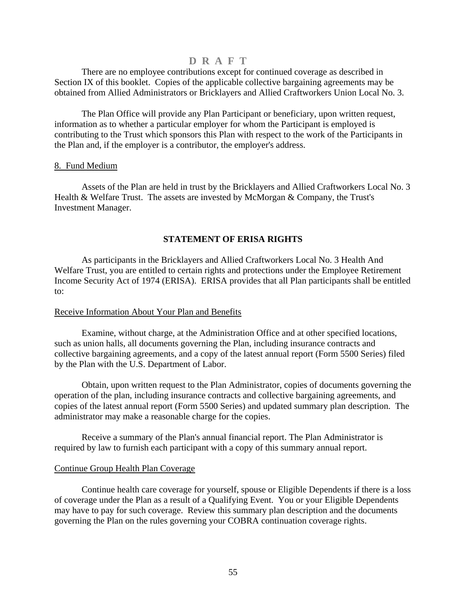<span id="page-56-0"></span>There are no employee contributions except for continued coverage as described in Section IX of this booklet. Copies of the applicable collective bargaining agreements may be obtained from Allied Administrators or Bricklayers and Allied Craftworkers Union Local No. 3.

The Plan Office will provide any Plan Participant or beneficiary, upon written request, information as to whether a particular employer for whom the Participant is employed is contributing to the Trust which sponsors this Plan with respect to the work of the Participants in the Plan and, if the employer is a contributor, the employer's address.

#### 8. Fund Medium

Assets of the Plan are held in trust by the Bricklayers and Allied Craftworkers Local No. 3 Health & Welfare Trust. The assets are invested by McMorgan & Company, the Trust's Investment Manager.

### **STATEMENT OF ERISA RIGHTS**

As participants in the Bricklayers and Allied Craftworkers Local No. 3 Health And Welfare Trust, you are entitled to certain rights and protections under the Employee Retirement Income Security Act of 1974 (ERISA). ERISA provides that all Plan participants shall be entitled to:

#### Receive Information About Your Plan and Benefits

Examine, without charge, at the Administration Office and at other specified locations, such as union halls, all documents governing the Plan, including insurance contracts and collective bargaining agreements, and a copy of the latest annual report (Form 5500 Series) filed by the Plan with the U.S. Department of Labor.

Obtain, upon written request to the Plan Administrator, copies of documents governing the operation of the plan, including insurance contracts and collective bargaining agreements, and copies of the latest annual report (Form 5500 Series) and updated summary plan description. The administrator may make a reasonable charge for the copies.

Receive a summary of the Plan's annual financial report. The Plan Administrator is required by law to furnish each participant with a copy of this summary annual report.

#### Continue Group Health Plan Coverage

Continue health care coverage for yourself, spouse or Eligible Dependents if there is a loss of coverage under the Plan as a result of a Qualifying Event. You or your Eligible Dependents may have to pay for such coverage. Review this summary plan description and the documents governing the Plan on the rules governing your COBRA continuation coverage rights.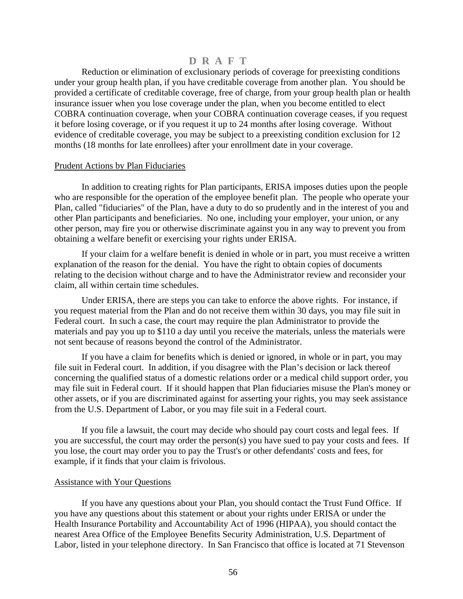Reduction or elimination of exclusionary periods of coverage for preexisting conditions under your group health plan, if you have creditable coverage from another plan. You should be provided a certificate of creditable coverage, free of charge, from your group health plan or health insurance issuer when you lose coverage under the plan, when you become entitled to elect COBRA continuation coverage, when your COBRA continuation coverage ceases, if you request it before losing coverage, or if you request it up to 24 months after losing coverage. Without evidence of creditable coverage, you may be subject to a preexisting condition exclusion for 12 months (18 months for late enrollees) after your enrollment date in your coverage.

#### Prudent Actions by Plan Fiduciaries

In addition to creating rights for Plan participants, ERISA imposes duties upon the people who are responsible for the operation of the employee benefit plan. The people who operate your Plan, called "fiduciaries" of the Plan, have a duty to do so prudently and in the interest of you and other Plan participants and beneficiaries. No one, including your employer, your union, or any other person, may fire you or otherwise discriminate against you in any way to prevent you from obtaining a welfare benefit or exercising your rights under ERISA.

If your claim for a welfare benefit is denied in whole or in part, you must receive a written explanation of the reason for the denial. You have the right to obtain copies of documents relating to the decision without charge and to have the Administrator review and reconsider your claim, all within certain time schedules.

Under ERISA, there are steps you can take to enforce the above rights. For instance, if you request material from the Plan and do not receive them within 30 days, you may file suit in Federal court. In such a case, the court may require the plan Administrator to provide the materials and pay you up to \$110 a day until you receive the materials, unless the materials were not sent because of reasons beyond the control of the Administrator.

If you have a claim for benefits which is denied or ignored, in whole or in part, you may file suit in Federal court. In addition, if you disagree with the Plan's decision or lack thereof concerning the qualified status of a domestic relations order or a medical child support order, you may file suit in Federal court. If it should happen that Plan fiduciaries misuse the Plan's money or other assets, or if you are discriminated against for asserting your rights, you may seek assistance from the U.S. Department of Labor, or you may file suit in a Federal court.

If you file a lawsuit, the court may decide who should pay court costs and legal fees. If you are successful, the court may order the person(s) you have sued to pay your costs and fees. If you lose, the court may order you to pay the Trust's or other defendants' costs and fees, for example, if it finds that your claim is frivolous.

#### Assistance with Your Questions

If you have any questions about your Plan, you should contact the Trust Fund Office. If you have any questions about this statement or about your rights under ERISA or under the Health Insurance Portability and Accountability Act of 1996 (HIPAA), you should contact the nearest Area Office of the Employee Benefits Security Administration, U.S. Department of Labor, listed in your telephone directory. In San Francisco that office is located at 71 Stevenson